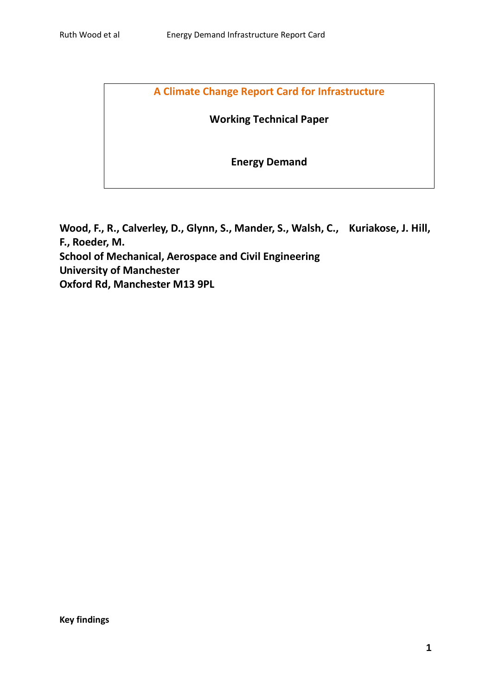**A Climate Change Report Card for Infrastructure**

**Working Technical Paper**

**Energy Demand**

**Wood, F., R., Calverley, D., Glynn, S., Mander, S., Walsh, C., Kuriakose, J. Hill, F., Roeder, M. School of Mechanical, Aerospace and Civil Engineering University of Manchester Oxford Rd, Manchester M13 9PL**

**Key findings**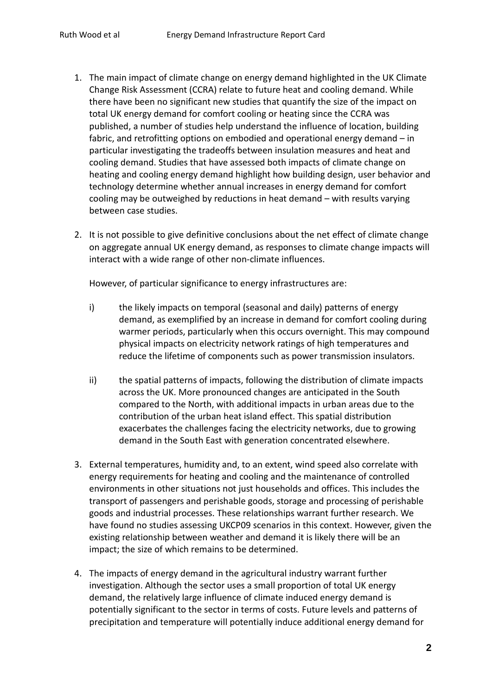- 1. The main impact of climate change on energy demand highlighted in the UK Climate Change Risk Assessment (CCRA) relate to future heat and cooling demand. While there have been no significant new studies that quantify the size of the impact on total UK energy demand for comfort cooling or heating since the CCRA was published, a number of studies help understand the influence of location, building fabric, and retrofitting options on embodied and operational energy demand – in particular investigating the tradeoffs between insulation measures and heat and cooling demand. Studies that have assessed both impacts of climate change on heating and cooling energy demand highlight how building design, user behavior and technology determine whether annual increases in energy demand for comfort cooling may be outweighed by reductions in heat demand – with results varying between case studies.
- 2. It is not possible to give definitive conclusions about the net effect of climate change on aggregate annual UK energy demand, as responses to climate change impacts will interact with a wide range of other non-climate influences.

However, of particular significance to energy infrastructures are:

- i) the likely impacts on temporal (seasonal and daily) patterns of energy demand, as exemplified by an increase in demand for comfort cooling during warmer periods, particularly when this occurs overnight. This may compound physical impacts on electricity network ratings of high temperatures and reduce the lifetime of components such as power transmission insulators.
- ii) the spatial patterns of impacts, following the distribution of climate impacts across the UK. More pronounced changes are anticipated in the South compared to the North, with additional impacts in urban areas due to the contribution of the urban heat island effect. This spatial distribution exacerbates the challenges facing the electricity networks, due to growing demand in the South East with generation concentrated elsewhere.
- 3. External temperatures, humidity and, to an extent, wind speed also correlate with energy requirements for heating and cooling and the maintenance of controlled environments in other situations not just households and offices. This includes the transport of passengers and perishable goods, storage and processing of perishable goods and industrial processes. These relationships warrant further research. We have found no studies assessing UKCP09 scenarios in this context. However, given the existing relationship between weather and demand it is likely there will be an impact; the size of which remains to be determined.
- 4. The impacts of energy demand in the agricultural industry warrant further investigation. Although the sector uses a small proportion of total UK energy demand, the relatively large influence of climate induced energy demand is potentially significant to the sector in terms of costs. Future levels and patterns of precipitation and temperature will potentially induce additional energy demand for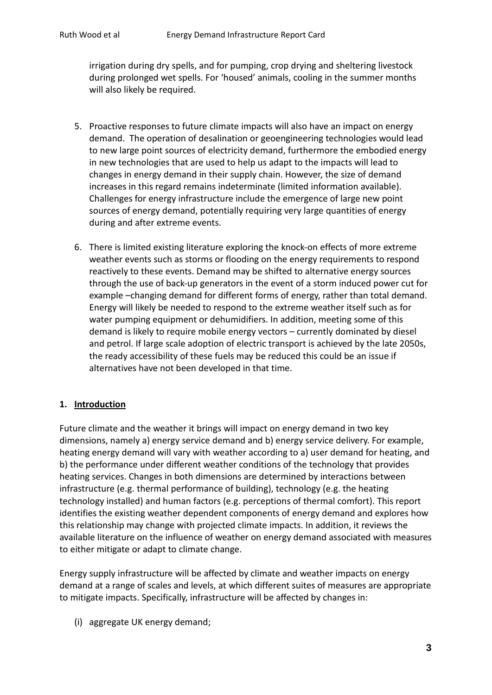irrigation during dry spells, and for pumping, crop drying and sheltering livestock during prolonged wet spells. For 'housed' animals, cooling in the summer months will also likely be required.

- 5. Proactive responses to future climate impacts will also have an impact on energy demand. The operation of desalination or geoengineering technologies would lead to new large point sources of electricity demand, furthermore the embodied energy in new technologies that are used to help us adapt to the impacts will lead to changes in energy demand in their supply chain. However, the size of demand increases in this regard remains indeterminate (limited information available). Challenges for energy infrastructure include the emergence of large new point sources of energy demand, potentially requiring very large quantities of energy during and after extreme events.
- 6. There is limited existing literature exploring the knock-on effects of more extreme weather events such as storms or flooding on the energy requirements to respond reactively to these events. Demand may be shifted to alternative energy sources through the use of back-up generators in the event of a storm induced power cut for example –changing demand for different forms of energy, rather than total demand. Energy will likely be needed to respond to the extreme weather itself such as for water pumping equipment or dehumidifiers. In addition, meeting some of this demand is likely to require mobile energy vectors – currently dominated by diesel and petrol. If large scale adoption of electric transport is achieved by the late 2050s, the ready accessibility of these fuels may be reduced this could be an issue if alternatives have not been developed in that time.

### **1. Introduction**

Future climate and the weather it brings will impact on energy demand in two key dimensions, namely a) energy service demand and b) energy service delivery. For example, heating energy demand will vary with weather according to a) user demand for heating, and b) the performance under different weather conditions of the technology that provides heating services. Changes in both dimensions are determined by interactions between infrastructure (e.g. thermal performance of building), technology (e.g. the heating technology installed) and human factors (e.g. perceptions of thermal comfort). This report identifies the existing weather dependent components of energy demand and explores how this relationship may change with projected climate impacts. In addition, it reviews the available literature on the influence of weather on energy demand associated with measures to either mitigate or adapt to climate change.

Energy supply infrastructure will be affected by climate and weather impacts on energy demand at a range of scales and levels, at which different suites of measures are appropriate to mitigate impacts. Specifically, infrastructure will be affected by changes in:

(i) aggregate UK energy demand;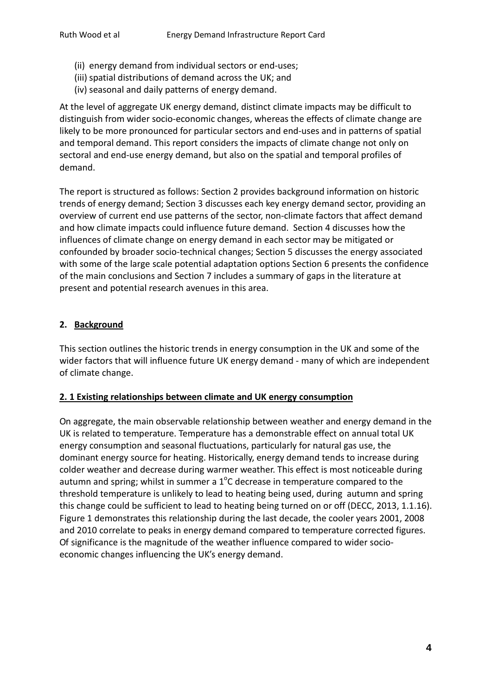- (ii) energy demand from individual sectors or end-uses;
- (iii) spatial distributions of demand across the UK; and
- (iv) seasonal and daily patterns of energy demand.

At the level of aggregate UK energy demand, distinct climate impacts may be difficult to distinguish from wider socio-economic changes, whereas the effects of climate change are likely to be more pronounced for particular sectors and end-uses and in patterns of spatial and temporal demand. This report considers the impacts of climate change not only on sectoral and end-use energy demand, but also on the spatial and temporal profiles of demand.

The report is structured as follows: Section 2 provides background information on historic trends of energy demand; Section 3 discusses each key energy demand sector, providing an overview of current end use patterns of the sector, non-climate factors that affect demand and how climate impacts could influence future demand. Section 4 discusses how the influences of climate change on energy demand in each sector may be mitigated or confounded by broader socio-technical changes; Section 5 discusses the energy associated with some of the large scale potential adaptation options Section 6 presents the confidence of the main conclusions and Section 7 includes a summary of gaps in the literature at present and potential research avenues in this area.

### **2. Background**

This section outlines the historic trends in energy consumption in the UK and some of the wider factors that will influence future UK energy demand - many of which are independent of climate change.

#### **2. 1 Existing relationships between climate and UK energy consumption**

On aggregate, the main observable relationship between weather and energy demand in the UK is related to temperature. Temperature has a demonstrable effect on annual total UK energy consumption and seasonal fluctuations, particularly for natural gas use, the dominant energy source for heating. Historically, energy demand tends to increase during colder weather and decrease during warmer weather. This effect is most noticeable during autumn and spring; whilst in summer a  $1^{\circ}$ C decrease in temperature compared to the threshold temperature is unlikely to lead to heating being used, during autumn and spring this change could be sufficient to lead to heating being turned on or off (DECC, 2013, 1.1.16). Figure 1 demonstrates this relationship during the last decade, the cooler years 2001, 2008 and 2010 correlate to peaks in energy demand compared to temperature corrected figures. Of significance is the magnitude of the weather influence compared to wider socioeconomic changes influencing the UK's energy demand.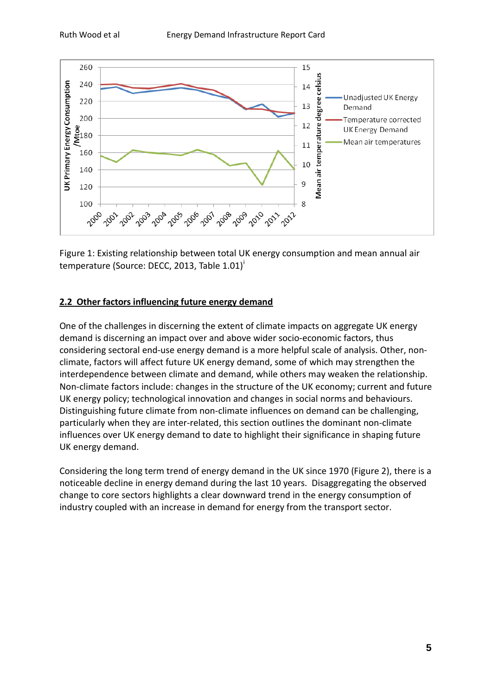

Figure 1: Existing relationship between total UK energy consumption and mean annual air temperature (Source: DECC, 2013, Table 1.01)<sup>[i](#page-57-0)</sup>

# **2.2 Other factors influencing future energy demand**

One of the challenges in discerning the extent of climate impacts on aggregate UK energy demand is discerning an impact over and above wider socio-economic factors, thus considering sectoral end-use energy demand is a more helpful scale of analysis. Other, nonclimate, factors will affect future UK energy demand, some of which may strengthen the interdependence between climate and demand, while others may weaken the relationship. Non-climate factors include: changes in the structure of the UK economy; current and future UK energy policy; technological innovation and changes in social norms and behaviours. Distinguishing future climate from non-climate influences on demand can be challenging, particularly when they are inter-related, this section outlines the dominant non-climate influences over UK energy demand to date to highlight their significance in shaping future UK energy demand.

Considering the long term trend of energy demand in the UK since 1970 (Figure 2), there is a noticeable decline in energy demand during the last 10 years. Disaggregating the observed change to core sectors highlights a clear downward trend in the energy consumption of industry coupled with an increase in demand for energy from the transport sector.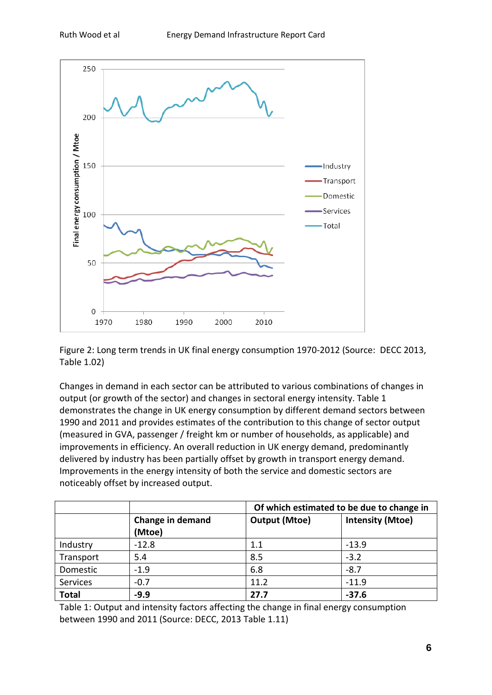

Figure 2: Long term trends in UK final energy consumption 1970-2012 (Source: DECC 2013, Table 1.02)

Changes in demand in each sector can be attributed to various combinations of changes in output (or growth of the sector) and changes in sectoral energy intensity. Table 1 demonstrates the change in UK energy consumption by different demand sectors between 1990 and 2011 and provides estimates of the contribution to this change of sector output (measured in GVA, passenger / freight km or number of households, as applicable) and improvements in efficiency. An overall reduction in UK energy demand, predominantly delivered by industry has been partially offset by growth in transport energy demand. Improvements in the energy intensity of both the service and domestic sectors are noticeably offset by increased output.

|              |                            | Of which estimated to be due to change in |                         |  |  |
|--------------|----------------------------|-------------------------------------------|-------------------------|--|--|
|              | Change in demand<br>(Mtoe) | <b>Output (Mtoe)</b>                      | <b>Intensity (Mtoe)</b> |  |  |
| Industry     | $-12.8$                    | 1.1                                       | $-13.9$                 |  |  |
| Transport    | 5.4                        | 8.5                                       | $-3.2$                  |  |  |
| Domestic     | $-1.9$                     | 6.8                                       | $-8.7$                  |  |  |
| Services     | $-0.7$                     | 11.2                                      | $-11.9$                 |  |  |
| <b>Total</b> | $-9.9$                     | 27.7                                      | $-37.6$                 |  |  |

Table 1: Output and intensity factors affecting the change in final energy consumption between 1990 and 2011 (Source: DECC, 2013 Table 1.11)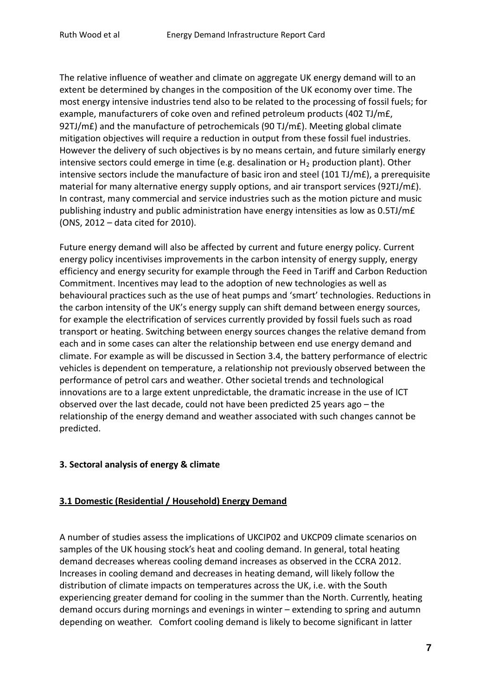The relative influence of weather and climate on aggregate UK energy demand will to an extent be determined by changes in the composition of the UK economy over time. The most energy intensive industries tend also to be related to the processing of fossil fuels; for example, manufacturers of coke oven and refined petroleum products (402 TJ/m£, 92TJ/m£) and the manufacture of petrochemicals (90 TJ/m£). Meeting global climate mitigation objectives will require a reduction in output from these fossil fuel industries. However the delivery of such objectives is by no means certain, and future similarly energy intensive sectors could emerge in time (e.g. desalination or  $H_2$  production plant). Other intensive sectors include the manufacture of basic iron and steel (101 TJ/m£), a prerequisite material for many alternative energy supply options, and air transport services (92TJ/m£). In contrast, many commercial and service industries such as the motion picture and music publishing industry and public administration have energy intensities as low as 0.5TJ/m£ (ONS, 2012 – data cited for 2010).

Future energy demand will also be affected by current and future energy policy. Current energy policy incentivises improvements in the carbon intensity of energy supply, energy efficiency and energy security for example through the Feed in Tariff and Carbon Reduction Commitment. Incentives may lead to the adoption of new technologies as well as behavioural practices such as the use of heat pumps and 'smart' technologies. Reductions in the carbon intensity of the UK's energy supply can shift demand between energy sources, for example the electrification of services currently provided by fossil fuels such as road transport or heating. Switching between energy sources changes the relative demand from each and in some cases can alter the relationship between end use energy demand and climate. For example as will be discussed in Section 3.4, the battery performance of electric vehicles is dependent on temperature, a relationship not previously observed between the performance of petrol cars and weather. Other societal trends and technological innovations are to a large extent unpredictable, the dramatic increase in the use of ICT observed over the last decade, could not have been predicted 25 years ago – the relationship of the energy demand and weather associated with such changes cannot be predicted.

#### **3. Sectoral analysis of energy & climate**

### **3.1 Domestic (Residential / Household) Energy Demand**

A number of studies assess the implications of UKCIP02 and UKCP09 climate scenarios on samples of the UK housing stock's heat and cooling demand. In general, total heating demand decreases whereas cooling demand increases as observed in the CCRA 2012. Increases in cooling demand and decreases in heating demand, will likely follow the distribution of climate impacts on temperatures across the UK, i.e. with the South experiencing greater demand for cooling in the summer than the North. Currently, heating demand occurs during mornings and evenings in winter – extending to spring and autumn depending on weather. Comfort cooling demand is likely to become significant in latter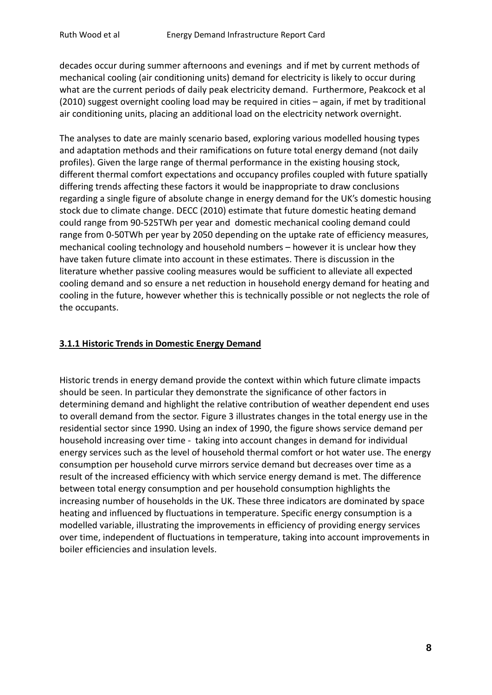decades occur during summer afternoons and evenings and if met by current methods of mechanical cooling (air conditioning units) demand for electricity is likely to occur during what are the current periods of daily peak electricity demand. Furthermore, Peakcock et al (2010) suggest overnight cooling load may be required in cities – again, if met by traditional air conditioning units, placing an additional load on the electricity network overnight.

The analyses to date are mainly scenario based, exploring various modelled housing types and adaptation methods and their ramifications on future total energy demand (not daily profiles). Given the large range of thermal performance in the existing housing stock, different thermal comfort expectations and occupancy profiles coupled with future spatially differing trends affecting these factors it would be inappropriate to draw conclusions regarding a single figure of absolute change in energy demand for the UK's domestic housing stock due to climate change. DECC (2010) estimate that future domestic heating demand could range from 90-525TWh per year and domestic mechanical cooling demand could range from 0-50TWh per year by 2050 depending on the uptake rate of efficiency measures, mechanical cooling technology and household numbers – however it is unclear how they have taken future climate into account in these estimates. There is discussion in the literature whether passive cooling measures would be sufficient to alleviate all expected cooling demand and so ensure a net reduction in household energy demand for heating and cooling in the future, however whether this is technically possible or not neglects the role of the occupants.

#### **3.1.1 Historic Trends in Domestic Energy Demand**

Historic trends in energy demand provide the context within which future climate impacts should be seen. In particular they demonstrate the significance of other factors in determining demand and highlight the relative contribution of weather dependent end uses to overall demand from the sector. Figure 3 illustrates changes in the total energy use in the residential sector since 1990. Using an index of 1990, the figure shows service demand per household increasing over time - taking into account changes in demand for individual energy services such as the level of household thermal comfort or hot water use. The energy consumption per household curve mirrors service demand but decreases over time as a result of the increased efficiency with which service energy demand is met. The difference between total energy consumption and per household consumption highlights the increasing number of households in the UK. These three indicators are dominated by space heating and influenced by fluctuations in temperature. Specific energy consumption is a modelled variable, illustrating the improvements in efficiency of providing energy services over time, independent of fluctuations in temperature, taking into account improvements in boiler efficiencies and insulation levels.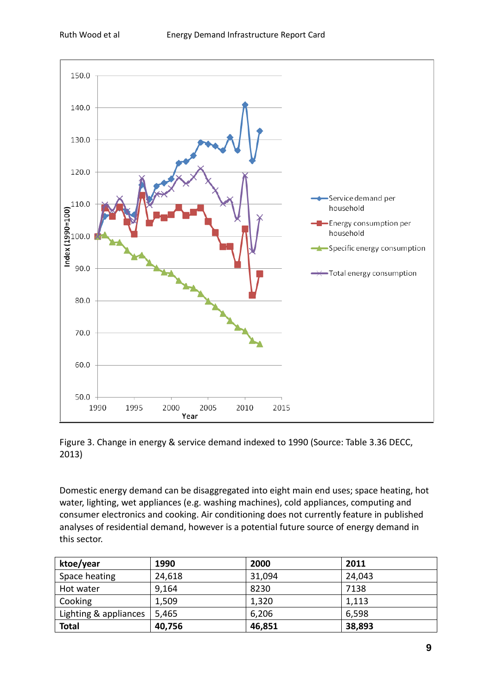



Domestic energy demand can be disaggregated into eight main end uses; space heating, hot water, lighting, wet appliances (e.g. washing machines), cold appliances, computing and consumer electronics and cooking. Air conditioning does not currently feature in published analyses of residential demand, however is a potential future source of energy demand in this sector.

| ktoe/year             | 1990   | 2000   | 2011   |
|-----------------------|--------|--------|--------|
| Space heating         | 24,618 | 31,094 | 24,043 |
| Hot water             | 9,164  | 8230   | 7138   |
| Cooking               | 1,509  | 1,320  | 1,113  |
| Lighting & appliances | 5,465  | 6,206  | 6,598  |
| <b>Total</b>          | 40,756 | 46,851 | 38,893 |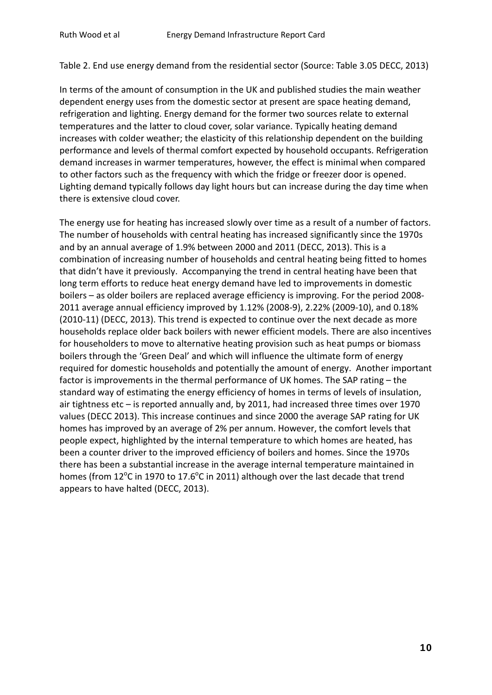Table 2. End use energy demand from the residential sector (Source: Table 3.05 DECC, 2013)

In terms of the amount of consumption in the UK and published studies the main weather dependent energy uses from the domestic sector at present are space heating demand, refrigeration and lighting. Energy demand for the former two sources relate to external temperatures and the latter to cloud cover, solar variance. Typically heating demand increases with colder weather; the elasticity of this relationship dependent on the building performance and levels of thermal comfort expected by household occupants. Refrigeration demand increases in warmer temperatures, however, the effect is minimal when compared to other factors such as the frequency with which the fridge or freezer door is opened. Lighting demand typically follows day light hours but can increase during the day time when there is extensive cloud cover.

The energy use for heating has increased slowly over time as a result of a number of factors. The number of households with central heating has increased significantly since the 1970s and by an annual average of 1.9% between 2000 and 2011 (DECC, 2013). This is a combination of increasing number of households and central heating being fitted to homes that didn't have it previously. Accompanying the trend in central heating have been that long term efforts to reduce heat energy demand have led to improvements in domestic boilers – as older boilers are replaced average efficiency is improving. For the period 2008- 2011 average annual efficiency improved by 1.12% (2008-9), 2.22% (2009-10), and 0.18% (2010-11) (DECC, 2013). This trend is expected to continue over the next decade as more households replace older back boilers with newer efficient models. There are also incentives for householders to move to alternative heating provision such as heat pumps or biomass boilers through the 'Green Deal' and which will influence the ultimate form of energy required for domestic households and potentially the amount of energy. Another important factor is improvements in the thermal performance of UK homes. The SAP rating – the standard way of estimating the energy efficiency of homes in terms of levels of insulation, air tightness etc – is reported annually and, by 2011, had increased three times over 1970 values (DECC 2013). This increase continues and since 2000 the average SAP rating for UK homes has improved by an average of 2% per annum. However, the comfort levels that people expect, highlighted by the internal temperature to which homes are heated, has been a counter driver to the improved efficiency of boilers and homes. Since the 1970s there has been a substantial increase in the average internal temperature maintained in homes (from 12 $\rm ^{o}$ C in 1970 to 17.6 $\rm ^{o}$ C in 2011) although over the last decade that trend appears to have halted (DECC, 2013).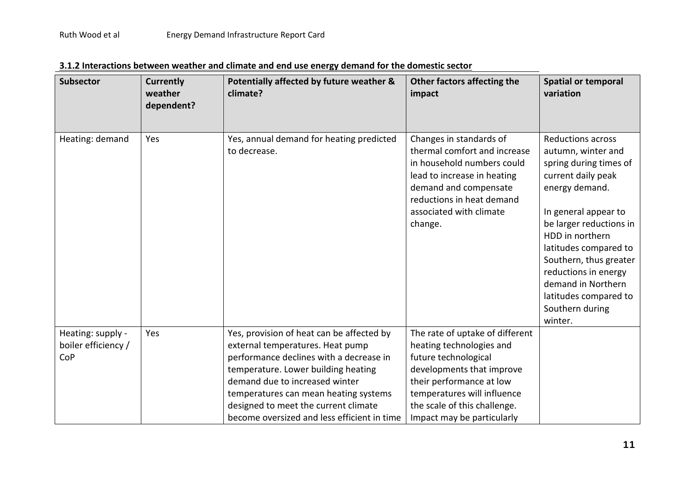| <b>Subsector</b>                                | <b>Currently</b><br>weather<br>dependent? | Potentially affected by future weather &<br>climate?                                                                                                                                                                                                                                                                              | Other factors affecting the<br>impact                                                                                                                                                                                                     | <b>Spatial or temporal</b><br>variation                                                                                                                                                                                                                                                                                                        |
|-------------------------------------------------|-------------------------------------------|-----------------------------------------------------------------------------------------------------------------------------------------------------------------------------------------------------------------------------------------------------------------------------------------------------------------------------------|-------------------------------------------------------------------------------------------------------------------------------------------------------------------------------------------------------------------------------------------|------------------------------------------------------------------------------------------------------------------------------------------------------------------------------------------------------------------------------------------------------------------------------------------------------------------------------------------------|
| Heating: demand                                 | Yes                                       | Yes, annual demand for heating predicted<br>to decrease.                                                                                                                                                                                                                                                                          | Changes in standards of<br>thermal comfort and increase<br>in household numbers could<br>lead to increase in heating<br>demand and compensate<br>reductions in heat demand<br>associated with climate<br>change.                          | <b>Reductions across</b><br>autumn, winter and<br>spring during times of<br>current daily peak<br>energy demand.<br>In general appear to<br>be larger reductions in<br>HDD in northern<br>latitudes compared to<br>Southern, thus greater<br>reductions in energy<br>demand in Northern<br>latitudes compared to<br>Southern during<br>winter. |
| Heating: supply -<br>boiler efficiency /<br>CoP | Yes                                       | Yes, provision of heat can be affected by<br>external temperatures. Heat pump<br>performance declines with a decrease in<br>temperature. Lower building heating<br>demand due to increased winter<br>temperatures can mean heating systems<br>designed to meet the current climate<br>become oversized and less efficient in time | The rate of uptake of different<br>heating technologies and<br>future technological<br>developments that improve<br>their performance at low<br>temperatures will influence<br>the scale of this challenge.<br>Impact may be particularly |                                                                                                                                                                                                                                                                                                                                                |

|--|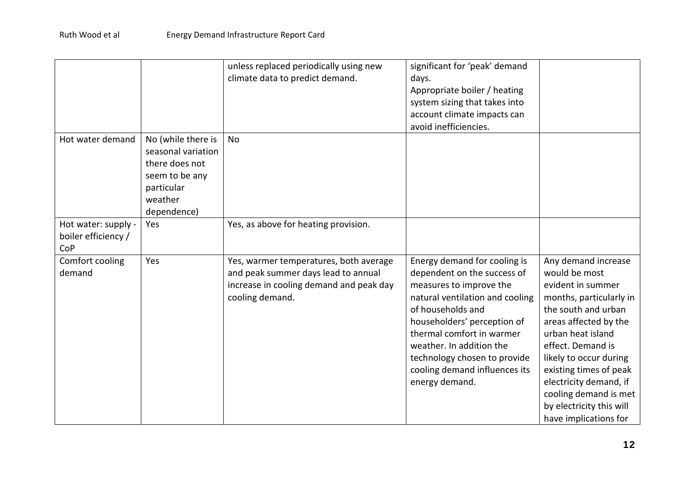|                                                   |                                                                                                                      | unless replaced periodically using new<br>climate data to predict demand.                                                                   | significant for 'peak' demand<br>days.<br>Appropriate boiler / heating<br>system sizing that takes into<br>account climate impacts can<br>avoid inefficiencies.                                                                                                                                                           |                                                                                                                                                                                                                                                                                                                                            |
|---------------------------------------------------|----------------------------------------------------------------------------------------------------------------------|---------------------------------------------------------------------------------------------------------------------------------------------|---------------------------------------------------------------------------------------------------------------------------------------------------------------------------------------------------------------------------------------------------------------------------------------------------------------------------|--------------------------------------------------------------------------------------------------------------------------------------------------------------------------------------------------------------------------------------------------------------------------------------------------------------------------------------------|
| Hot water demand                                  | No (while there is<br>seasonal variation<br>there does not<br>seem to be any<br>particular<br>weather<br>dependence) | No                                                                                                                                          |                                                                                                                                                                                                                                                                                                                           |                                                                                                                                                                                                                                                                                                                                            |
| Hot water: supply -<br>boiler efficiency /<br>CoP | Yes                                                                                                                  | Yes, as above for heating provision.                                                                                                        |                                                                                                                                                                                                                                                                                                                           |                                                                                                                                                                                                                                                                                                                                            |
| Comfort cooling<br>demand                         | Yes                                                                                                                  | Yes, warmer temperatures, both average<br>and peak summer days lead to annual<br>increase in cooling demand and peak day<br>cooling demand. | Energy demand for cooling is<br>dependent on the success of<br>measures to improve the<br>natural ventilation and cooling<br>of households and<br>householders' perception of<br>thermal comfort in warmer<br>weather. In addition the<br>technology chosen to provide<br>cooling demand influences its<br>energy demand. | Any demand increase<br>would be most<br>evident in summer<br>months, particularly in<br>the south and urban<br>areas affected by the<br>urban heat island<br>effect. Demand is<br>likely to occur during<br>existing times of peak<br>electricity demand, if<br>cooling demand is met<br>by electricity this will<br>have implications for |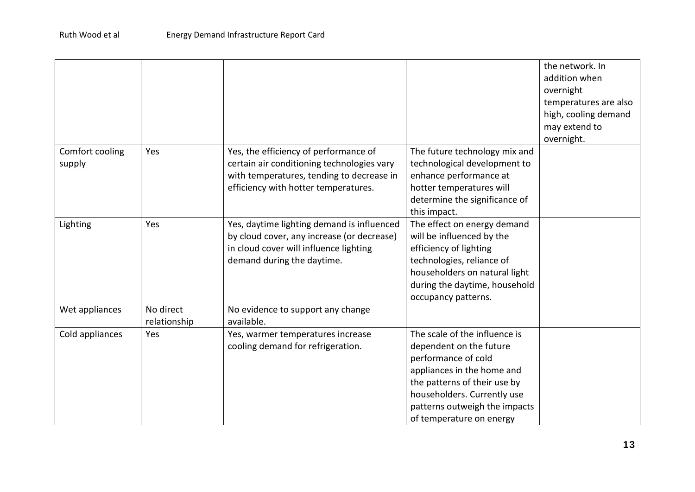|                           |                           |                                                                                                                                                                          |                                                                                                                                                                                                                                           | the network. In<br>addition when<br>overnight<br>temperatures are also<br>high, cooling demand<br>may extend to<br>overnight. |
|---------------------------|---------------------------|--------------------------------------------------------------------------------------------------------------------------------------------------------------------------|-------------------------------------------------------------------------------------------------------------------------------------------------------------------------------------------------------------------------------------------|-------------------------------------------------------------------------------------------------------------------------------|
| Comfort cooling<br>supply | Yes                       | Yes, the efficiency of performance of<br>certain air conditioning technologies vary<br>with temperatures, tending to decrease in<br>efficiency with hotter temperatures. | The future technology mix and<br>technological development to<br>enhance performance at<br>hotter temperatures will<br>determine the significance of<br>this impact.                                                                      |                                                                                                                               |
| Lighting                  | Yes                       | Yes, daytime lighting demand is influenced<br>by cloud cover, any increase (or decrease)<br>in cloud cover will influence lighting<br>demand during the daytime.         | The effect on energy demand<br>will be influenced by the<br>efficiency of lighting<br>technologies, reliance of<br>householders on natural light<br>during the daytime, household<br>occupancy patterns.                                  |                                                                                                                               |
| Wet appliances            | No direct<br>relationship | No evidence to support any change<br>available.                                                                                                                          |                                                                                                                                                                                                                                           |                                                                                                                               |
| Cold appliances           | Yes                       | Yes, warmer temperatures increase<br>cooling demand for refrigeration.                                                                                                   | The scale of the influence is<br>dependent on the future<br>performance of cold<br>appliances in the home and<br>the patterns of their use by<br>householders. Currently use<br>patterns outweigh the impacts<br>of temperature on energy |                                                                                                                               |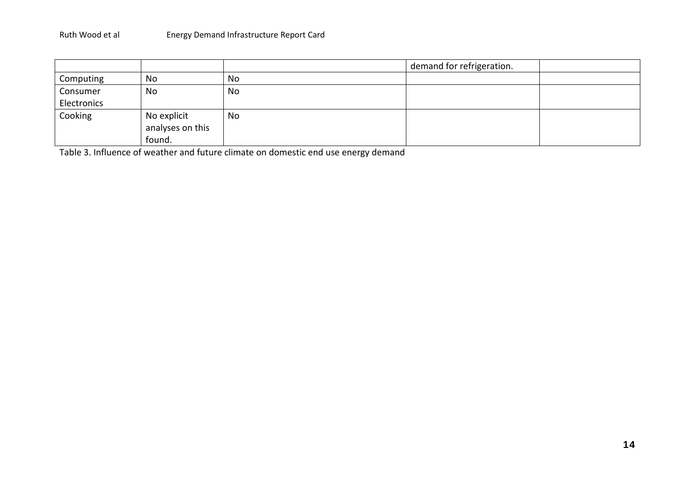|             |                  |    | demand for refrigeration. |  |
|-------------|------------------|----|---------------------------|--|
| Computing   | No               | No |                           |  |
| Consumer    | No               | No |                           |  |
| Electronics |                  |    |                           |  |
| Cooking     | No explicit      | No |                           |  |
|             | analyses on this |    |                           |  |
|             | found.           |    |                           |  |

Table 3. Influence of weather and future climate on domestic end use energy demand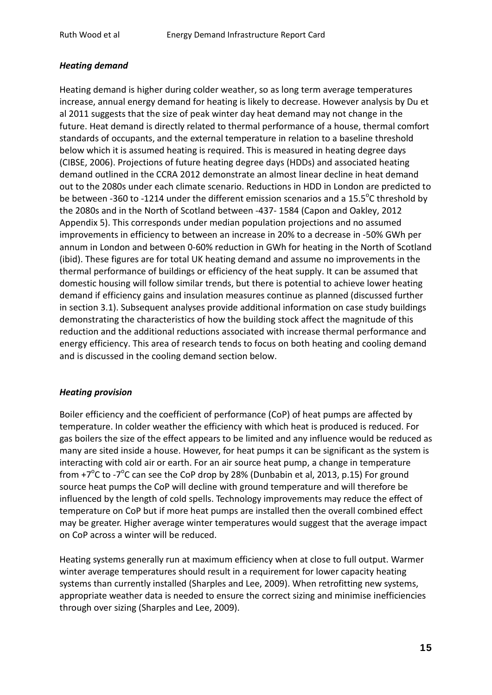### *Heating demand*

Heating demand is higher during colder weather, so as long term average temperatures increase, annual energy demand for heating is likely to decrease. However analysis by Du et al 2011 suggests that the size of peak winter day heat demand may not change in the future. Heat demand is directly related to thermal performance of a house, thermal comfort standards of occupants, and the external temperature in relation to a baseline threshold below which it is assumed heating is required. This is measured in heating degree days (CIBSE, 2006). Projections of future heating degree days (HDDs) and associated heating demand outlined in the CCRA 2012 demonstrate an almost linear decline in heat demand out to the 2080s under each climate scenario. Reductions in HDD in London are predicted to be between -360 to -1214 under the different emission scenarios and a 15.5°C threshold by the 2080s and in the North of Scotland between -437- 1584 (Capon and Oakley, 2012 Appendix 5). This corresponds under median population projections and no assumed improvements in efficiency to between an increase in 20% to a decrease in -50% GWh per annum in London and between 0-60% reduction in GWh for heating in the North of Scotland (ibid). These figures are for total UK heating demand and assume no improvements in the thermal performance of buildings or efficiency of the heat supply. It can be assumed that domestic housing will follow similar trends, but there is potential to achieve lower heating demand if efficiency gains and insulation measures continue as planned (discussed further in section 3.1). Subsequent analyses provide additional information on case study buildings demonstrating the characteristics of how the building stock affect the magnitude of this reduction and the additional reductions associated with increase thermal performance and energy efficiency. This area of research tends to focus on both heating and cooling demand and is discussed in the cooling demand section below.

#### *Heating provision*

Boiler efficiency and the coefficient of performance (CoP) of heat pumps are affected by temperature. In colder weather the efficiency with which heat is produced is reduced. For gas boilers the size of the effect appears to be limited and any influence would be reduced as many are sited inside a house. However, for heat pumps it can be significant as the system is interacting with cold air or earth. For an air source heat pump, a change in temperature from  $+7^{\circ}$ C to -7 $^{\circ}$ C can see the CoP drop by 28% (Dunbabin et al, 2013, p.15) For ground source heat pumps the CoP will decline with ground temperature and will therefore be influenced by the length of cold spells. Technology improvements may reduce the effect of temperature on CoP but if more heat pumps are installed then the overall combined effect may be greater. Higher average winter temperatures would suggest that the average impact on CoP across a winter will be reduced.

Heating systems generally run at maximum efficiency when at close to full output. Warmer winter average temperatures should result in a requirement for lower capacity heating systems than currently installed (Sharples and Lee, 2009). When retrofitting new systems, appropriate weather data is needed to ensure the correct sizing and minimise inefficiencies through over sizing (Sharples and Lee, 2009).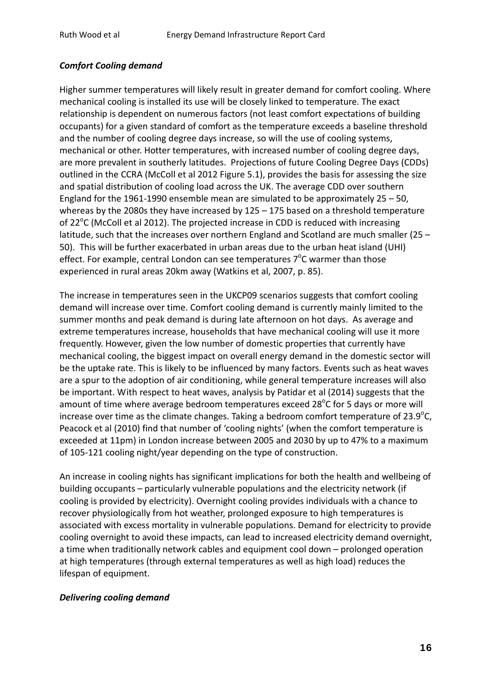#### *Comfort Cooling demand*

Higher summer temperatures will likely result in greater demand for comfort cooling. Where mechanical cooling is installed its use will be closely linked to temperature. The exact relationship is dependent on numerous factors (not least comfort expectations of building occupants) for a given standard of comfort as the temperature exceeds a baseline threshold and the number of cooling degree days increase, so will the use of cooling systems, mechanical or other. Hotter temperatures, with increased number of cooling degree days, are more prevalent in southerly latitudes. Projections of future Cooling Degree Days (CDDs) outlined in the CCRA (McColl et al 2012 Figure 5.1), provides the basis for assessing the size and spatial distribution of cooling load across the UK. The average CDD over southern England for the 1961-1990 ensemble mean are simulated to be approximately 25 – 50, whereas by the 2080s they have increased by 125 – 175 based on a threshold temperature of  $22^{\circ}$ C (McColl et al 2012). The projected increase in CDD is reduced with increasing latitude, such that the increases over northern England and Scotland are much smaller (25 – 50). This will be further exacerbated in urban areas due to the urban heat island (UHI) effect. For example, central London can see temperatures  $7^{\circ}$ C warmer than those experienced in rural areas 20km away (Watkins et al, 2007, p. 85).

The increase in temperatures seen in the UKCP09 scenarios suggests that comfort cooling demand will increase over time. Comfort cooling demand is currently mainly limited to the summer months and peak demand is during late afternoon on hot days. As average and extreme temperatures increase, households that have mechanical cooling will use it more frequently. However, given the low number of domestic properties that currently have mechanical cooling, the biggest impact on overall energy demand in the domestic sector will be the uptake rate. This is likely to be influenced by many factors. Events such as heat waves are a spur to the adoption of air conditioning, while general temperature increases will also be important. With respect to heat waves, analysis by Patidar et al (2014) suggests that the amount of time where average bedroom temperatures exceed  $28^{\circ}$ C for 5 days or more will increase over time as the climate changes. Taking a bedroom comfort temperature of 23.9 $^{\circ}$ C, Peacock et al (2010) find that number of 'cooling nights' (when the comfort temperature is exceeded at 11pm) in London increase between 2005 and 2030 by up to 47% to a maximum of 105-121 cooling night/year depending on the type of construction.

An increase in cooling nights has significant implications for both the health and wellbeing of building occupants – particularly vulnerable populations and the electricity network (if cooling is provided by electricity). Overnight cooling provides individuals with a chance to recover physiologically from hot weather, prolonged exposure to high temperatures is associated with excess mortality in vulnerable populations. Demand for electricity to provide cooling overnight to avoid these impacts, can lead to increased electricity demand overnight, a time when traditionally network cables and equipment cool down – prolonged operation at high temperatures (through external temperatures as well as high load) reduces the lifespan of equipment.

#### *Delivering cooling demand*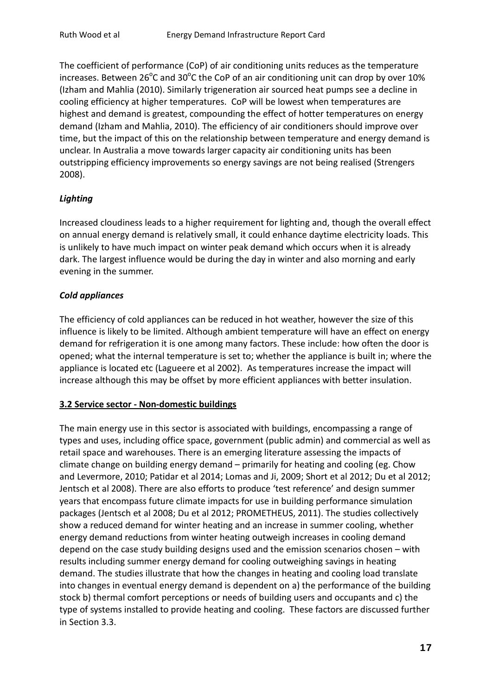The coefficient of performance (CoP) of air conditioning units reduces as the temperature increases. Between  $26^{\circ}$ C and  $30^{\circ}$ C the CoP of an air conditioning unit can drop by over 10% (Izham and Mahlia (2010). Similarly trigeneration air sourced heat pumps see a decline in cooling efficiency at higher temperatures. CoP will be lowest when temperatures are highest and demand is greatest, compounding the effect of hotter temperatures on energy demand (Izham and Mahlia, 2010). The efficiency of air conditioners should improve over time, but the impact of this on the relationship between temperature and energy demand is unclear. In Australia a move towards larger capacity air conditioning units has been outstripping efficiency improvements so energy savings are not being realised (Strengers 2008).

# *Lighting*

Increased cloudiness leads to a higher requirement for lighting and, though the overall effect on annual energy demand is relatively small, it could enhance daytime electricity loads. This is unlikely to have much impact on winter peak demand which occurs when it is already dark. The largest influence would be during the day in winter and also morning and early evening in the summer.

# *Cold appliances*

The efficiency of cold appliances can be reduced in hot weather, however the size of this influence is likely to be limited. Although ambient temperature will have an effect on energy demand for refrigeration it is one among many factors. These include: how often the door is opened; what the internal temperature is set to; whether the appliance is built in; where the appliance is located etc (Lagueere et al 2002). As temperatures increase the impact will increase although this may be offset by more efficient appliances with better insulation.

### **3.2 Service sector - Non-domestic buildings**

The main energy use in this sector is associated with buildings, encompassing a range of types and uses, including office space, government (public admin) and commercial as well as retail space and warehouses. There is an emerging literature assessing the impacts of climate change on building energy demand – primarily for heating and cooling (eg. Chow and Levermore, 2010; Patidar et al 2014; Lomas and Ji, 2009; Short et al 2012; Du et al 2012; Jentsch et al 2008). There are also efforts to produce 'test reference' and design summer years that encompass future climate impacts for use in building performance simulation packages (Jentsch et al 2008; Du et al 2012; PROMETHEUS, 2011). The studies collectively show a reduced demand for winter heating and an increase in summer cooling, whether energy demand reductions from winter heating outweigh increases in cooling demand depend on the case study building designs used and the emission scenarios chosen – with results including summer energy demand for cooling outweighing savings in heating demand. The studies illustrate that how the changes in heating and cooling load translate into changes in eventual energy demand is dependent on a) the performance of the building stock b) thermal comfort perceptions or needs of building users and occupants and c) the type of systems installed to provide heating and cooling. These factors are discussed further in Section 3.3.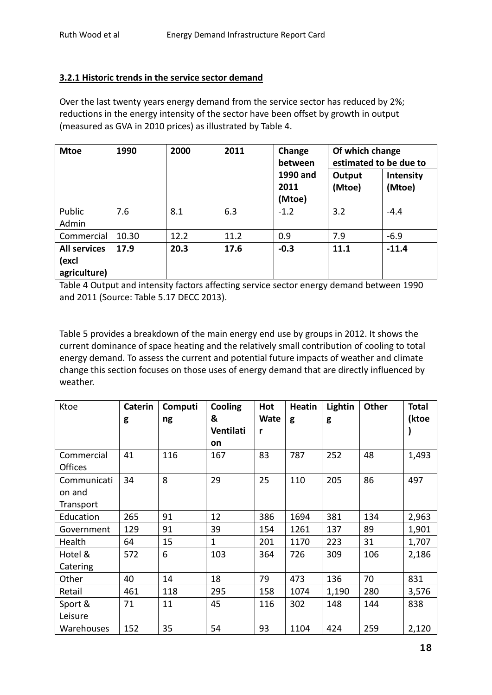# **3.2.1 Historic trends in the service sector demand**

Over the last twenty years energy demand from the service sector has reduced by 2%; reductions in the energy intensity of the sector have been offset by growth in output (measured as GVA in 2010 prices) as illustrated by Table 4.

| <b>Mtoe</b>                                  | 1990  | 2000 | 2011 | Change<br>between<br>1990 and<br>2011<br>(Mtoe) | Of which change<br>estimated to be due to<br><b>Intensity</b><br>Output<br>(Mtoe)<br>(Mtoe) |         |
|----------------------------------------------|-------|------|------|-------------------------------------------------|---------------------------------------------------------------------------------------------|---------|
| Public<br>Admin                              | 7.6   | 8.1  | 6.3  | $-1.2$                                          | 3.2                                                                                         | $-4.4$  |
| Commercial                                   | 10.30 | 12.2 | 11.2 | 0.9                                             | 7.9                                                                                         | $-6.9$  |
| <b>All services</b><br>(excl<br>agriculture) | 17.9  | 20.3 | 17.6 | $-0.3$                                          | 11.1                                                                                        | $-11.4$ |

Table 4 Output and intensity factors affecting service sector energy demand between 1990 and 2011 (Source: Table 5.17 DECC 2013).

Table 5 provides a breakdown of the main energy end use by groups in 2012. It shows the current dominance of space heating and the relatively small contribution of cooling to total energy demand. To assess the current and potential future impacts of weather and climate change this section focuses on those uses of energy demand that are directly influenced by weather.

| Ktoe           | Caterin | Computi | <b>Cooling</b> | Hot         | <b>Heatin</b> | Lightin | <b>Other</b> | <b>Total</b> |
|----------------|---------|---------|----------------|-------------|---------------|---------|--------------|--------------|
|                | g       | ng      | &              | <b>Wate</b> | g             | g       |              | (ktoe        |
|                |         |         | Ventilati      | r           |               |         |              |              |
|                |         |         | on             |             |               |         |              |              |
| Commercial     | 41      | 116     | 167            | 83          | 787           | 252     | 48           | 1,493        |
| <b>Offices</b> |         |         |                |             |               |         |              |              |
| Communicati    | 34      | 8       | 29             | 25          | 110           | 205     | 86           | 497          |
| on and         |         |         |                |             |               |         |              |              |
| Transport      |         |         |                |             |               |         |              |              |
| Education      | 265     | 91      | 12             | 386         | 1694          | 381     | 134          | 2,963        |
| Government     | 129     | 91      | 39             | 154         | 1261          | 137     | 89           | 1,901        |
| Health         | 64      | 15      | $\mathbf{1}$   | 201         | 1170          | 223     | 31           | 1,707        |
| Hotel &        | 572     | 6       | 103            | 364         | 726           | 309     | 106          | 2,186        |
| Catering       |         |         |                |             |               |         |              |              |
| Other          | 40      | 14      | 18             | 79          | 473           | 136     | 70           | 831          |
| Retail         | 461     | 118     | 295            | 158         | 1074          | 1,190   | 280          | 3,576        |
| Sport &        | 71      | 11      | 45             | 116         | 302           | 148     | 144          | 838          |
| Leisure        |         |         |                |             |               |         |              |              |
| Warehouses     | 152     | 35      | 54             | 93          | 1104          | 424     | 259          | 2,120        |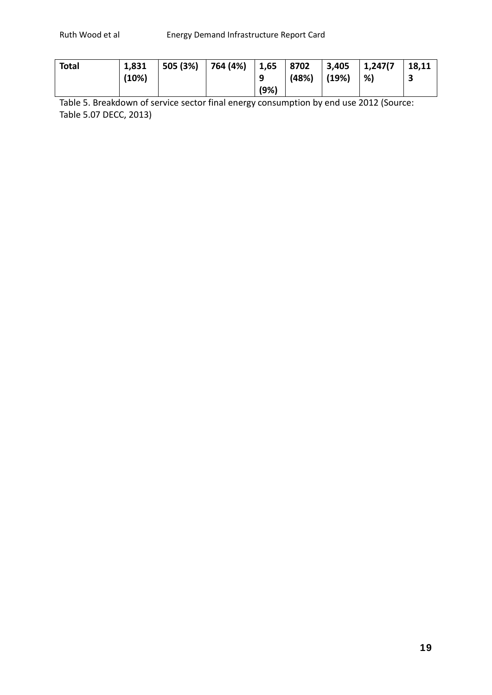| Total | 1,831 | 505 (3%) | 764 (4%) | 1,65 | 8702  |       | 3,405 1,247(7) | 18,11 |
|-------|-------|----------|----------|------|-------|-------|----------------|-------|
|       | (10%) |          |          | q    | (48%) | (19%) | %)             |       |
|       |       |          |          | (9%) |       |       |                |       |

Table 5. Breakdown of service sector final energy consumption by end use 2012 (Source: Table 5.07 DECC, 2013)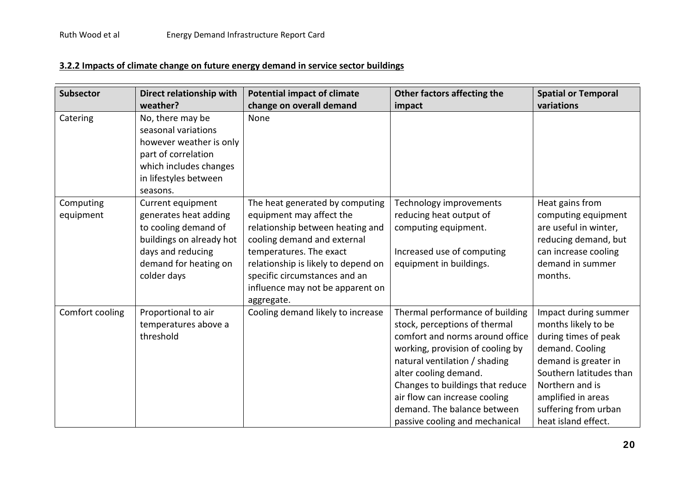# **3.2.2 Impacts of climate change on future energy demand in service sector buildings**

| <b>Subsector</b>       | Direct relationship with                                                                                                                                    | <b>Potential impact of climate</b>                                                                                                                                                                                                                                                  | Other factors affecting the                                                                                                                                                                                                                                                                                                             | <b>Spatial or Temporal</b>                                                                                                                                                                                                        |
|------------------------|-------------------------------------------------------------------------------------------------------------------------------------------------------------|-------------------------------------------------------------------------------------------------------------------------------------------------------------------------------------------------------------------------------------------------------------------------------------|-----------------------------------------------------------------------------------------------------------------------------------------------------------------------------------------------------------------------------------------------------------------------------------------------------------------------------------------|-----------------------------------------------------------------------------------------------------------------------------------------------------------------------------------------------------------------------------------|
|                        | weather?                                                                                                                                                    | change on overall demand                                                                                                                                                                                                                                                            | impact                                                                                                                                                                                                                                                                                                                                  | variations                                                                                                                                                                                                                        |
| Catering               | No, there may be<br>seasonal variations<br>however weather is only<br>part of correlation<br>which includes changes<br>in lifestyles between<br>seasons.    | None                                                                                                                                                                                                                                                                                |                                                                                                                                                                                                                                                                                                                                         |                                                                                                                                                                                                                                   |
| Computing<br>equipment | Current equipment<br>generates heat adding<br>to cooling demand of<br>buildings on already hot<br>days and reducing<br>demand for heating on<br>colder days | The heat generated by computing<br>equipment may affect the<br>relationship between heating and<br>cooling demand and external<br>temperatures. The exact<br>relationship is likely to depend on<br>specific circumstances and an<br>influence may not be apparent on<br>aggregate. | Technology improvements<br>reducing heat output of<br>computing equipment.<br>Increased use of computing<br>equipment in buildings.                                                                                                                                                                                                     | Heat gains from<br>computing equipment<br>are useful in winter,<br>reducing demand, but<br>can increase cooling<br>demand in summer<br>months.                                                                                    |
| Comfort cooling        | Proportional to air<br>temperatures above a<br>threshold                                                                                                    | Cooling demand likely to increase                                                                                                                                                                                                                                                   | Thermal performance of building<br>stock, perceptions of thermal<br>comfort and norms around office<br>working, provision of cooling by<br>natural ventilation / shading<br>alter cooling demand.<br>Changes to buildings that reduce<br>air flow can increase cooling<br>demand. The balance between<br>passive cooling and mechanical | Impact during summer<br>months likely to be<br>during times of peak<br>demand. Cooling<br>demand is greater in<br>Southern latitudes than<br>Northern and is<br>amplified in areas<br>suffering from urban<br>heat island effect. |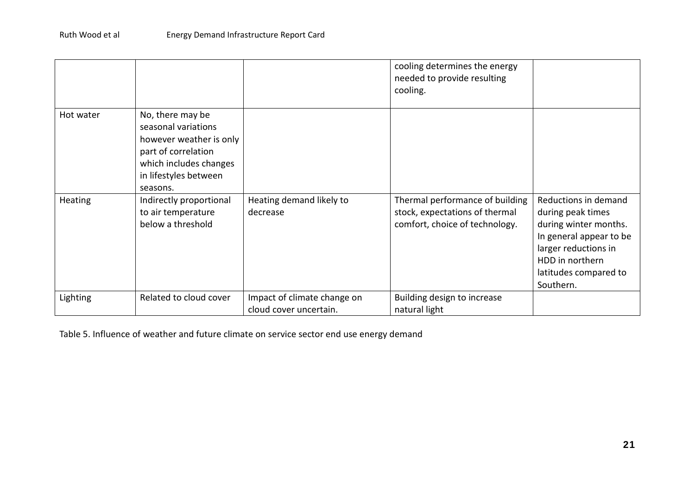|           |                                                                                                                                                          |                                                       | cooling determines the energy<br>needed to provide resulting<br>cooling.                            |                                                                                                                                                                                |
|-----------|----------------------------------------------------------------------------------------------------------------------------------------------------------|-------------------------------------------------------|-----------------------------------------------------------------------------------------------------|--------------------------------------------------------------------------------------------------------------------------------------------------------------------------------|
| Hot water | No, there may be<br>seasonal variations<br>however weather is only<br>part of correlation<br>which includes changes<br>in lifestyles between<br>seasons. |                                                       |                                                                                                     |                                                                                                                                                                                |
| Heating   | Indirectly proportional<br>to air temperature<br>below a threshold                                                                                       | Heating demand likely to<br>decrease                  | Thermal performance of building<br>stock, expectations of thermal<br>comfort, choice of technology. | Reductions in demand<br>during peak times<br>during winter months.<br>In general appear to be<br>larger reductions in<br>HDD in northern<br>latitudes compared to<br>Southern. |
| Lighting  | Related to cloud cover                                                                                                                                   | Impact of climate change on<br>cloud cover uncertain. | Building design to increase<br>natural light                                                        |                                                                                                                                                                                |

Table 5. Influence of weather and future climate on service sector end use energy demand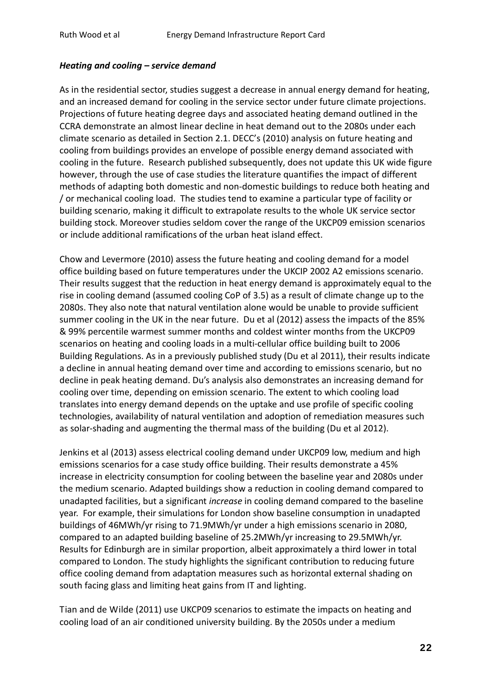#### *Heating and cooling – service demand*

As in the residential sector, studies suggest a decrease in annual energy demand for heating, and an increased demand for cooling in the service sector under future climate projections. Projections of future heating degree days and associated heating demand outlined in the CCRA demonstrate an almost linear decline in heat demand out to the 2080s under each climate scenario as detailed in Section 2.1. DECC's (2010) analysis on future heating and cooling from buildings provides an envelope of possible energy demand associated with cooling in the future. Research published subsequently, does not update this UK wide figure however, through the use of case studies the literature quantifies the impact of different methods of adapting both domestic and non-domestic buildings to reduce both heating and / or mechanical cooling load. The studies tend to examine a particular type of facility or building scenario, making it difficult to extrapolate results to the whole UK service sector building stock. Moreover studies seldom cover the range of the UKCP09 emission scenarios or include additional ramifications of the urban heat island effect.

Chow and Levermore (2010) assess the future heating and cooling demand for a model office building based on future temperatures under the UKCIP 2002 A2 emissions scenario. Their results suggest that the reduction in heat energy demand is approximately equal to the rise in cooling demand (assumed cooling CoP of 3.5) as a result of climate change up to the 2080s. They also note that natural ventilation alone would be unable to provide sufficient summer cooling in the UK in the near future. Du et al (2012) assess the impacts of the 85% & 99% percentile warmest summer months and coldest winter months from the UKCP09 scenarios on heating and cooling loads in a multi-cellular office building built to 2006 Building Regulations. As in a previously published study (Du et al 2011), their results indicate a decline in annual heating demand over time and according to emissions scenario, but no decline in peak heating demand. Du's analysis also demonstrates an increasing demand for cooling over time, depending on emission scenario. The extent to which cooling load translates into energy demand depends on the uptake and use profile of specific cooling technologies, availability of natural ventilation and adoption of remediation measures such as solar-shading and augmenting the thermal mass of the building (Du et al 2012).

Jenkins et al (2013) assess electrical cooling demand under UKCP09 low, medium and high emissions scenarios for a case study office building. Their results demonstrate a 45% increase in electricity consumption for cooling between the baseline year and 2080s under the medium scenario. Adapted buildings show a reduction in cooling demand compared to unadapted facilities, but a significant *increase* in cooling demand compared to the baseline year. For example, their simulations for London show baseline consumption in unadapted buildings of 46MWh/yr rising to 71.9MWh/yr under a high emissions scenario in 2080, compared to an adapted building baseline of 25.2MWh/yr increasing to 29.5MWh/yr. Results for Edinburgh are in similar proportion, albeit approximately a third lower in total compared to London. The study highlights the significant contribution to reducing future office cooling demand from adaptation measures such as horizontal external shading on south facing glass and limiting heat gains from IT and lighting.

Tian and de Wilde (2011) use UKCP09 scenarios to estimate the impacts on heating and cooling load of an air conditioned university building. By the 2050s under a medium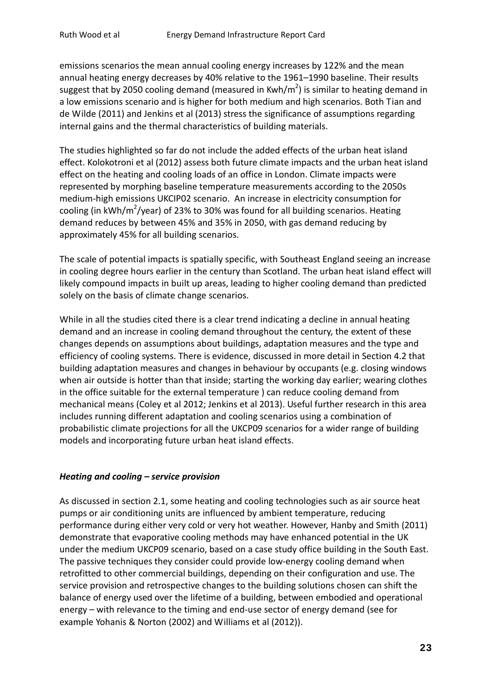emissions scenarios the mean annual cooling energy increases by 122% and the mean annual heating energy decreases by 40% relative to the 1961–1990 baseline. Their results suggest that by 2050 cooling demand (measured in Kwh/m<sup>2</sup>) is similar to heating demand in a low emissions scenario and is higher for both medium and high scenarios. Both Tian and de Wilde (2011) and Jenkins et al (2013) stress the significance of assumptions regarding internal gains and the thermal characteristics of building materials.

The studies highlighted so far do not include the added effects of the urban heat island effect. Kolokotroni et al (2012) assess both future climate impacts and the urban heat island effect on the heating and cooling loads of an office in London. Climate impacts were represented by morphing baseline temperature measurements according to the 2050s medium-high emissions UKCIP02 scenario. An increase in electricity consumption for cooling (in kWh/m<sup>2</sup>/year) of 23% to 30% was found for all building scenarios. Heating demand reduces by between 45% and 35% in 2050, with gas demand reducing by approximately 45% for all building scenarios.

The scale of potential impacts is spatially specific, with Southeast England seeing an increase in cooling degree hours earlier in the century than Scotland. The urban heat island effect will likely compound impacts in built up areas, leading to higher cooling demand than predicted solely on the basis of climate change scenarios.

While in all the studies cited there is a clear trend indicating a decline in annual heating demand and an increase in cooling demand throughout the century, the extent of these changes depends on assumptions about buildings, adaptation measures and the type and efficiency of cooling systems. There is evidence, discussed in more detail in Section 4.2 that building adaptation measures and changes in behaviour by occupants (e.g. closing windows when air outside is hotter than that inside; starting the working day earlier; wearing clothes in the office suitable for the external temperature ) can reduce cooling demand from mechanical means (Coley et al 2012; Jenkins et al 2013). Useful further research in this area includes running different adaptation and cooling scenarios using a combination of probabilistic climate projections for all the UKCP09 scenarios for a wider range of building models and incorporating future urban heat island effects.

### *Heating and cooling – service provision*

As discussed in section 2.1, some heating and cooling technologies such as air source heat pumps or air conditioning units are influenced by ambient temperature, reducing performance during either very cold or very hot weather. However, Hanby and Smith (2011) demonstrate that evaporative cooling methods may have enhanced potential in the UK under the medium UKCP09 scenario, based on a case study office building in the South East. The passive techniques they consider could provide low-energy cooling demand when retrofitted to other commercial buildings, depending on their configuration and use. The service provision and retrospective changes to the building solutions chosen can shift the balance of energy used over the lifetime of a building, between embodied and operational energy – with relevance to the timing and end-use sector of energy demand (see for example Yohanis & Norton (2002) and Williams et al (2012)).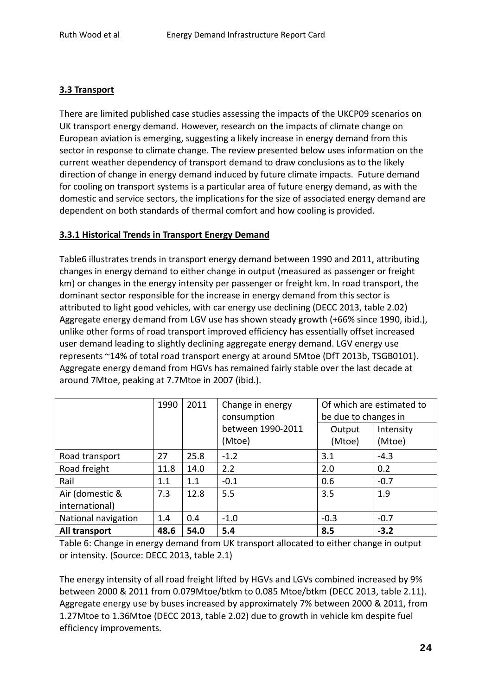# **3.3 Transport**

There are limited published case studies assessing the impacts of the UKCP09 scenarios on UK transport energy demand. However, research on the impacts of climate change on European aviation is emerging, suggesting a likely increase in energy demand from this sector in response to climate change. The review presented below uses information on the current weather dependency of transport demand to draw conclusions as to the likely direction of change in energy demand induced by future climate impacts. Future demand for cooling on transport systems is a particular area of future energy demand, as with the domestic and service sectors, the implications for the size of associated energy demand are dependent on both standards of thermal comfort and how cooling is provided.

#### **3.3.1 Historical Trends in Transport Energy Demand**

Table6 illustrates trends in transport energy demand between 1990 and 2011, attributing changes in energy demand to either change in output (measured as passenger or freight km) or changes in the energy intensity per passenger or freight km. In road transport, the dominant sector responsible for the increase in energy demand from this sector is attributed to light good vehicles, with car energy use declining (DECC 2013, table 2.02) Aggregate energy demand from LGV use has shown steady growth (+66% since 1990, ibid.), unlike other forms of road transport improved efficiency has essentially offset increased user demand leading to slightly declining aggregate energy demand. LGV energy use represents ~14% of total road transport energy at around 5Mtoe (DfT 2013b, TSGB0101). Aggregate energy demand from HGVs has remained fairly stable over the last decade at around 7Mtoe, peaking at 7.7Mtoe in 2007 (ibid.).

|                     | 1990 | 2011 | Change in energy<br>consumption | be due to changes in | Of which are estimated to |
|---------------------|------|------|---------------------------------|----------------------|---------------------------|
|                     |      |      | between 1990-2011               | Output               | Intensity                 |
|                     |      |      | (Mtoe)                          | (Mtoe)               | (Mtoe)                    |
| Road transport      | 27   | 25.8 | $-1.2$                          | 3.1                  | $-4.3$                    |
| Road freight        | 11.8 | 14.0 | 2.2                             | 2.0                  | 0.2                       |
| Rail                | 1.1  | 1.1  | $-0.1$                          | 0.6                  | $-0.7$                    |
| Air (domestic &     | 7.3  | 12.8 | 5.5                             | 3.5                  | 1.9                       |
| international)      |      |      |                                 |                      |                           |
| National navigation | 1.4  | 0.4  | $-1.0$                          | $-0.3$               | $-0.7$                    |
| All transport       | 48.6 | 54.0 | 5.4                             | 8.5                  | $-3.2$                    |

Table 6: Change in energy demand from UK transport allocated to either change in output or intensity. (Source: DECC 2013, table 2.1)

The energy intensity of all road freight lifted by HGVs and LGVs combined increased by 9% between 2000 & 2011 from 0.079Mtoe/btkm to 0.085 Mtoe/btkm (DECC 2013, table 2.11). Aggregate energy use by buses increased by approximately 7% between 2000 & 2011, from 1.27Mtoe to 1.36Mtoe (DECC 2013, table 2.02) due to growth in vehicle km despite fuel efficiency improvements.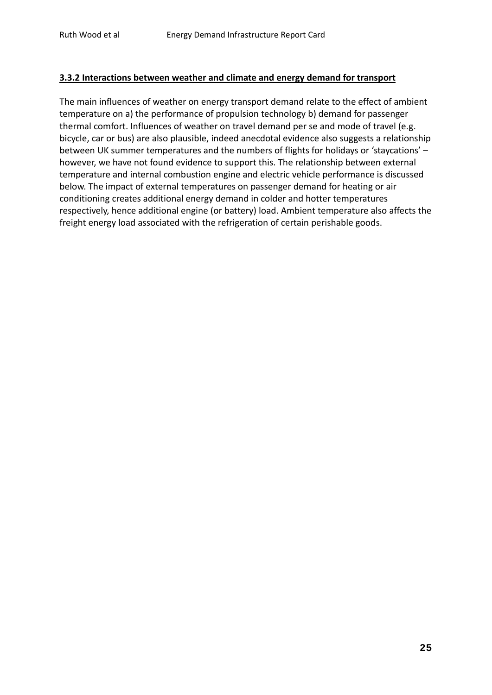#### **3.3.2 Interactions between weather and climate and energy demand for transport**

The main influences of weather on energy transport demand relate to the effect of ambient temperature on a) the performance of propulsion technology b) demand for passenger thermal comfort. Influences of weather on travel demand per se and mode of travel (e.g. bicycle, car or bus) are also plausible, indeed anecdotal evidence also suggests a relationship between UK summer temperatures and the numbers of flights for holidays or 'staycations' – however, we have not found evidence to support this. The relationship between external temperature and internal combustion engine and electric vehicle performance is discussed below. The impact of external temperatures on passenger demand for heating or air conditioning creates additional energy demand in colder and hotter temperatures respectively, hence additional engine (or battery) load. Ambient temperature also affects the freight energy load associated with the refrigeration of certain perishable goods.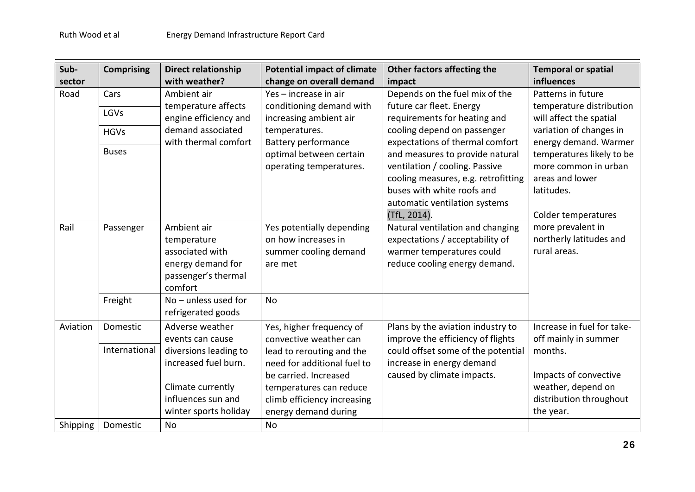| Sub-     | <b>Comprising</b> | <b>Direct relationship</b>                    | <b>Potential impact of climate</b> | Other factors affecting the         | <b>Temporal or spatial</b> |
|----------|-------------------|-----------------------------------------------|------------------------------------|-------------------------------------|----------------------------|
| sector   |                   | with weather?                                 | change on overall demand           | impact                              | influences                 |
| Road     | Cars              | Ambient air                                   | Yes - increase in air              | Depends on the fuel mix of the      | Patterns in future         |
|          |                   | temperature affects                           | conditioning demand with           | future car fleet. Energy            | temperature distribution   |
|          | LGVs              | engine efficiency and                         | increasing ambient air             | requirements for heating and        | will affect the spatial    |
|          | <b>HGVs</b>       | demand associated                             | temperatures.                      | cooling depend on passenger         | variation of changes in    |
|          |                   | with thermal comfort                          | <b>Battery performance</b>         | expectations of thermal comfort     | energy demand. Warmer      |
|          | <b>Buses</b>      |                                               | optimal between certain            | and measures to provide natural     | temperatures likely to be  |
|          |                   |                                               | operating temperatures.            | ventilation / cooling. Passive      | more common in urban       |
|          |                   |                                               |                                    | cooling measures, e.g. retrofitting | areas and lower            |
|          |                   |                                               |                                    | buses with white roofs and          | latitudes.                 |
|          |                   |                                               |                                    | automatic ventilation systems       |                            |
|          |                   |                                               |                                    | (TfL, 2014).                        | Colder temperatures        |
| Rail     | Passenger         | Ambient air                                   | Yes potentially depending          | Natural ventilation and changing    | more prevalent in          |
|          |                   | temperature                                   | on how increases in                | expectations / acceptability of     | northerly latitudes and    |
|          |                   | associated with                               | summer cooling demand              | warmer temperatures could           | rural areas.               |
|          |                   | energy demand for                             | are met                            | reduce cooling energy demand.       |                            |
|          |                   | passenger's thermal                           |                                    |                                     |                            |
|          |                   | comfort                                       |                                    |                                     |                            |
|          | Freight           | $No$ – unless used for                        | <b>No</b>                          |                                     |                            |
|          |                   | refrigerated goods                            |                                    |                                     |                            |
| Aviation | Domestic          | Adverse weather                               | Yes, higher frequency of           | Plans by the aviation industry to   | Increase in fuel for take- |
|          |                   | events can cause                              | convective weather can             | improve the efficiency of flights   | off mainly in summer       |
|          | International     |                                               |                                    |                                     | months.                    |
|          |                   | diversions leading to<br>increased fuel burn. | lead to rerouting and the          | could offset some of the potential  |                            |
|          |                   |                                               | need for additional fuel to        | increase in energy demand           |                            |
|          |                   |                                               | be carried. Increased              | caused by climate impacts.          | Impacts of convective      |
|          |                   | Climate currently                             | temperatures can reduce            |                                     | weather, depend on         |
|          |                   | influences sun and                            | climb efficiency increasing        |                                     | distribution throughout    |
|          |                   | winter sports holiday                         | energy demand during               |                                     | the year.                  |
| Shipping | Domestic          | <b>No</b>                                     | <b>No</b>                          |                                     |                            |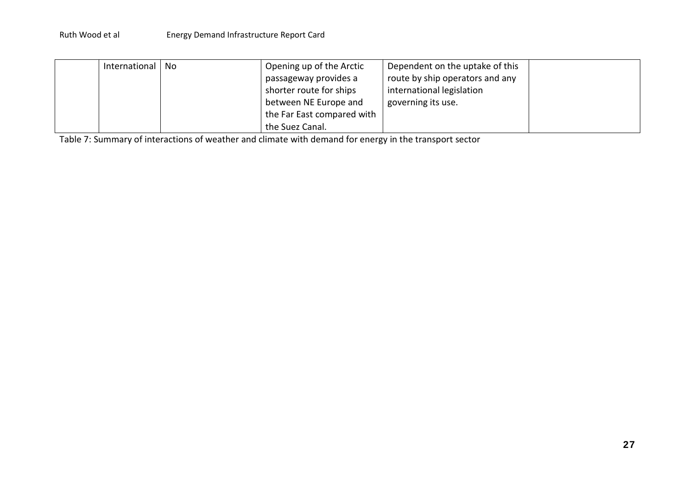| International   No | Opening up of the Arctic   | Dependent on the uptake of this |  |
|--------------------|----------------------------|---------------------------------|--|
|                    | passageway provides a      | route by ship operators and any |  |
|                    | shorter route for ships    | international legislation       |  |
|                    | between NE Europe and      | governing its use.              |  |
|                    | the Far East compared with |                                 |  |
|                    | the Suez Canal.            |                                 |  |

Table 7: Summary of interactions of weather and climate with demand for energy in the transport sector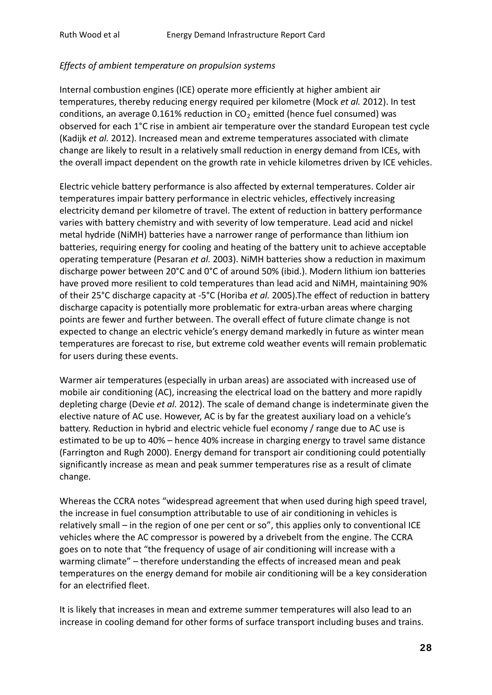#### *Effects of ambient temperature on propulsion systems*

Internal combustion engines (ICE) operate more efficiently at higher ambient air temperatures, thereby reducing energy required per kilometre (Mock *et al.* 2012). In test conditions, an average 0.161% reduction in  $CO<sub>2</sub>$  emitted (hence fuel consumed) was observed for each 1°C rise in ambient air temperature over the standard European test cycle (Kadijk *et al.* 2012). Increased mean and extreme temperatures associated with climate change are likely to result in a relatively small reduction in energy demand from ICEs, with the overall impact dependent on the growth rate in vehicle kilometres driven by ICE vehicles.

Electric vehicle battery performance is also affected by external temperatures. Colder air temperatures impair battery performance in electric vehicles, effectively increasing electricity demand per kilometre of travel. The extent of reduction in battery performance varies with battery chemistry and with severity of low temperature. Lead acid and nickel metal hydride (NiMH) batteries have a narrower range of performance than lithium ion batteries, requiring energy for cooling and heating of the battery unit to achieve acceptable operating temperature (Pesaran *et al.* 2003). NiMH batteries show a reduction in maximum discharge power between 20°C and 0°C of around 50% (ibid.). Modern lithium ion batteries have proved more resilient to cold temperatures than lead acid and NiMH, maintaining 90% of their 25°C discharge capacity at -5°C (Horiba *et al.* 2005).The effect of reduction in battery discharge capacity is potentially more problematic for extra-urban areas where charging points are fewer and further between. The overall effect of future climate change is not expected to change an electric vehicle's energy demand markedly in future as winter mean temperatures are forecast to rise, but extreme cold weather events will remain problematic for users during these events.

Warmer air temperatures (especially in urban areas) are associated with increased use of mobile air conditioning (AC), increasing the electrical load on the battery and more rapidly depleting charge (Devie *et al.* 2012). The scale of demand change is indeterminate given the elective nature of AC use. However, AC is by far the greatest auxiliary load on a vehicle's battery. Reduction in hybrid and electric vehicle fuel economy / range due to AC use is estimated to be up to 40% – hence 40% increase in charging energy to travel same distance (Farrington and Rugh 2000). Energy demand for transport air conditioning could potentially significantly increase as mean and peak summer temperatures rise as a result of climate change.

Whereas the CCRA notes "widespread agreement that when used during high speed travel, the increase in fuel consumption attributable to use of air conditioning in vehicles is relatively small – in the region of one per cent or so", this applies only to conventional ICE vehicles where the AC compressor is powered by a drivebelt from the engine. The CCRA goes on to note that "the frequency of usage of air conditioning will increase with a warming climate" – therefore understanding the effects of increased mean and peak temperatures on the energy demand for mobile air conditioning will be a key consideration for an electrified fleet.

It is likely that increases in mean and extreme summer temperatures will also lead to an increase in cooling demand for other forms of surface transport including buses and trains.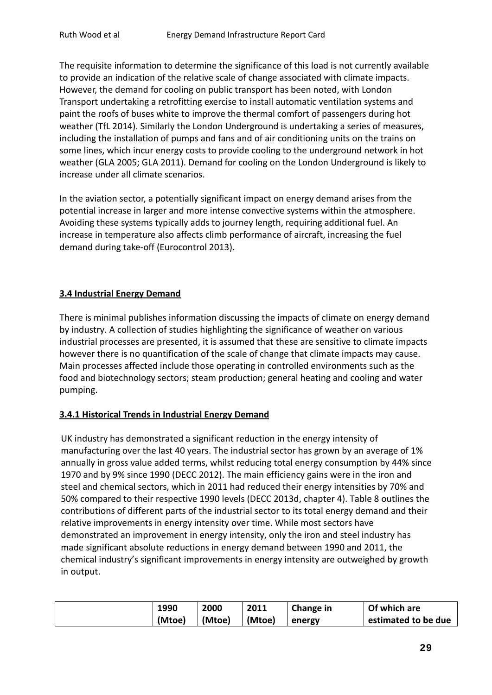The requisite information to determine the significance of this load is not currently available to provide an indication of the relative scale of change associated with climate impacts. However, the demand for cooling on public transport has been noted, with London Transport undertaking a retrofitting exercise to install automatic ventilation systems and paint the roofs of buses white to improve the thermal comfort of passengers during hot weather (TfL 2014). Similarly the London Underground is undertaking a series of measures, including the installation of pumps and fans and of air conditioning units on the trains on some lines, which incur energy costs to provide cooling to the underground network in hot weather (GLA 2005; GLA 2011). Demand for cooling on the London Underground is likely to increase under all climate scenarios.

In the aviation sector, a potentially significant impact on energy demand arises from the potential increase in larger and more intense convective systems within the atmosphere. Avoiding these systems typically adds to journey length, requiring additional fuel. An increase in temperature also affects climb performance of aircraft, increasing the fuel demand during take-off (Eurocontrol 2013).

### **3.4 Industrial Energy Demand**

There is minimal publishes information discussing the impacts of climate on energy demand by industry. A collection of studies highlighting the significance of weather on various industrial processes are presented, it is assumed that these are sensitive to climate impacts however there is no quantification of the scale of change that climate impacts may cause. Main processes affected include those operating in controlled environments such as the food and biotechnology sectors; steam production; general heating and cooling and water pumping.

#### **3.4.1 Historical Trends in Industrial Energy Demand**

UK industry has demonstrated a significant reduction in the energy intensity of manufacturing over the last 40 years. The industrial sector has grown by an average of 1% annually in gross value added terms, whilst reducing total energy consumption by 44% since 1970 and by 9% since 1990 (DECC 2012). The main efficiency gains were in the iron and steel and chemical sectors, which in 2011 had reduced their energy intensities by 70% and 50% compared to their respective 1990 levels (DECC 2013d, chapter 4). Table 8 outlines the contributions of different parts of the industrial sector to its total energy demand and their relative improvements in energy intensity over time. While most sectors have demonstrated an improvement in energy intensity, only the iron and steel industry has made significant absolute reductions in energy demand between 1990 and 2011, the chemical industry's significant improvements in energy intensity are outweighed by growth in output.

| 1990   | 2000   | 2011   | Change in | Of which are        |
|--------|--------|--------|-----------|---------------------|
| (Mtoe) | (Mtoe) | (Mtoe) | energy    | estimated to be due |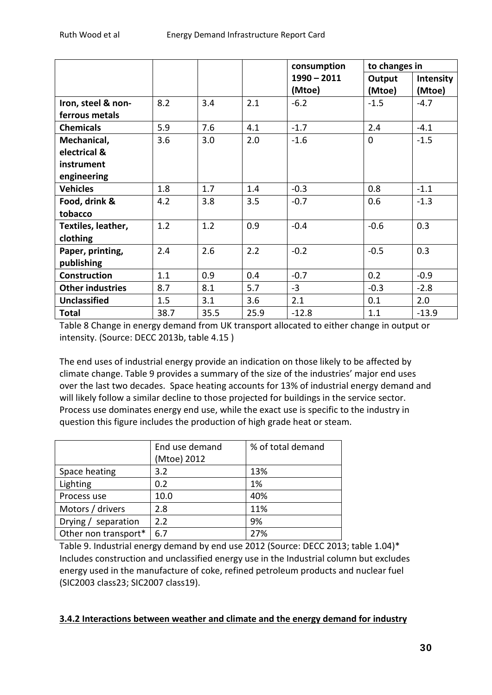|                         |      |      |      | consumption   | to changes in |           |
|-------------------------|------|------|------|---------------|---------------|-----------|
|                         |      |      |      | $1990 - 2011$ | Output        | Intensity |
|                         |      |      |      | (Mtoe)        | (Mtoe)        | (Mtoe)    |
| Iron, steel & non-      | 8.2  | 3.4  | 2.1  | $-6.2$        | $-1.5$        | $-4.7$    |
| ferrous metals          |      |      |      |               |               |           |
| <b>Chemicals</b>        | 5.9  | 7.6  | 4.1  | $-1.7$        | 2.4           | $-4.1$    |
| Mechanical,             | 3.6  | 3.0  | 2.0  | $-1.6$        | $\mathbf 0$   | $-1.5$    |
| electrical &            |      |      |      |               |               |           |
| instrument              |      |      |      |               |               |           |
| engineering             |      |      |      |               |               |           |
| <b>Vehicles</b>         | 1.8  | 1.7  | 1.4  | $-0.3$        | 0.8           | $-1.1$    |
| Food, drink &           | 4.2  | 3.8  | 3.5  | $-0.7$        | 0.6           | $-1.3$    |
| tobacco                 |      |      |      |               |               |           |
| Textiles, leather,      | 1.2  | 1.2  | 0.9  | $-0.4$        | $-0.6$        | 0.3       |
| clothing                |      |      |      |               |               |           |
| Paper, printing,        | 2.4  | 2.6  | 2.2  | $-0.2$        | $-0.5$        | 0.3       |
| publishing              |      |      |      |               |               |           |
| <b>Construction</b>     | 1.1  | 0.9  | 0.4  | $-0.7$        | 0.2           | $-0.9$    |
| <b>Other industries</b> | 8.7  | 8.1  | 5.7  | $-3$          | $-0.3$        | $-2.8$    |
| <b>Unclassified</b>     | 1.5  | 3.1  | 3.6  | 2.1           | 0.1           | 2.0       |
| <b>Total</b>            | 38.7 | 35.5 | 25.9 | $-12.8$       | 1.1           | $-13.9$   |

Table 8 Change in energy demand from UK transport allocated to either change in output or intensity. (Source: DECC 2013b, table 4.15 )

The end uses of industrial energy provide an indication on those likely to be affected by climate change. Table 9 provides a summary of the size of the industries' major end uses over the last two decades. Space heating accounts for 13% of industrial energy demand and will likely follow a similar decline to those projected for buildings in the service sector. Process use dominates energy end use, while the exact use is specific to the industry in question this figure includes the production of high grade heat or steam.

|                      | End use demand<br>(Mtoe) 2012 | % of total demand |
|----------------------|-------------------------------|-------------------|
| Space heating        | 3.2                           | 13%               |
| Lighting             | 0.2                           | 1%                |
| Process use          | 10.0                          | 40%               |
| Motors / drivers     | 2.8                           | 11%               |
| Drying / separation  | 2.2                           | 9%                |
| Other non transport* | 6.7                           | 27%               |

Table 9. Industrial energy demand by end use 2012 (Source: DECC 2013; table 1.04)\* Includes construction and unclassified energy use in the Industrial column but excludes energy used in the manufacture of coke, refined petroleum products and nuclear fuel (SIC2003 class23; SIC2007 class19).

# **3.4.2 Interactions between weather and climate and the energy demand for industry**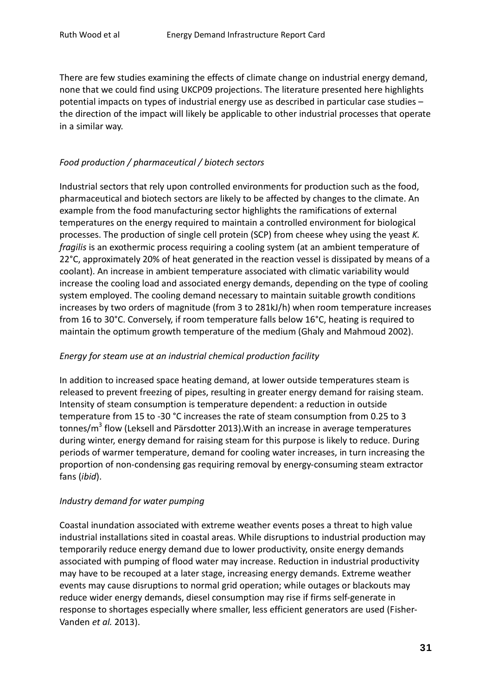There are few studies examining the effects of climate change on industrial energy demand, none that we could find using UKCP09 projections. The literature presented here highlights potential impacts on types of industrial energy use as described in particular case studies – the direction of the impact will likely be applicable to other industrial processes that operate in a similar way.

### *Food production / pharmaceutical / biotech sectors*

Industrial sectors that rely upon controlled environments for production such as the food, pharmaceutical and biotech sectors are likely to be affected by changes to the climate. An example from the food manufacturing sector highlights the ramifications of external temperatures on the energy required to maintain a controlled environment for biological processes. The production of single cell protein (SCP) from cheese whey using the yeast *K. fragilis* is an exothermic process requiring a cooling system (at an ambient temperature of 22°C, approximately 20% of heat generated in the reaction vessel is dissipated by means of a coolant). An increase in ambient temperature associated with climatic variability would increase the cooling load and associated energy demands, depending on the type of cooling system employed. The cooling demand necessary to maintain suitable growth conditions increases by two orders of magnitude (from 3 to 281kJ/h) when room temperature increases from 16 to 30°C. Conversely, if room temperature falls below 16°C, heating is required to maintain the optimum growth temperature of the medium (Ghaly and Mahmoud 2002).

### *Energy for steam use at an industrial chemical production facility*

In addition to increased space heating demand, at lower outside temperatures steam is released to prevent freezing of pipes, resulting in greater energy demand for raising steam. Intensity of steam consumption is temperature dependent: a reduction in outside temperature from 15 to -30 °C increases the rate of steam consumption from 0.25 to 3 tonnes/ $m<sup>3</sup>$  flow (Leksell and Pärsdotter 2013). With an increase in average temperatures during winter, energy demand for raising steam for this purpose is likely to reduce. During periods of warmer temperature, demand for cooling water increases, in turn increasing the proportion of non-condensing gas requiring removal by energy-consuming steam extractor fans (*ibid*).

### *Industry demand for water pumping*

Coastal inundation associated with extreme weather events poses a threat to high value industrial installations sited in coastal areas. While disruptions to industrial production may temporarily reduce energy demand due to lower productivity, onsite energy demands associated with pumping of flood water may increase. Reduction in industrial productivity may have to be recouped at a later stage, increasing energy demands. Extreme weather events may cause disruptions to normal grid operation; while outages or blackouts may reduce wider energy demands, diesel consumption may rise if firms self-generate in response to shortages especially where smaller, less efficient generators are used (Fisher-Vanden *et al.* 2013).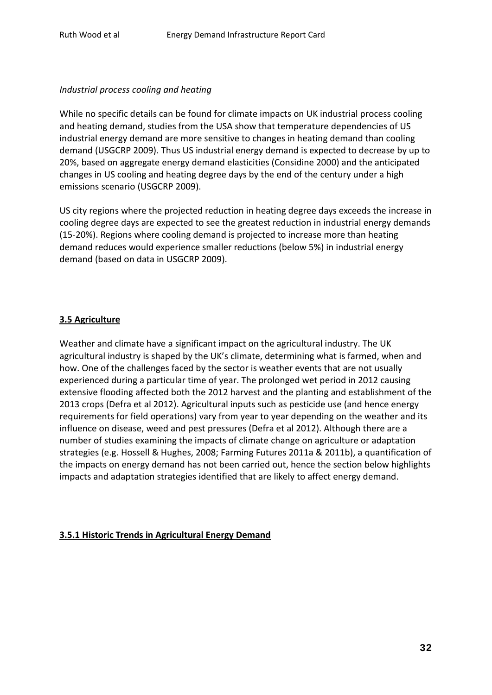#### *Industrial process cooling and heating*

While no specific details can be found for climate impacts on UK industrial process cooling and heating demand, studies from the USA show that temperature dependencies of US industrial energy demand are more sensitive to changes in heating demand than cooling demand (USGCRP 2009). Thus US industrial energy demand is expected to decrease by up to 20%, based on aggregate energy demand elasticities (Considine 2000) and the anticipated changes in US cooling and heating degree days by the end of the century under a high emissions scenario (USGCRP 2009).

US city regions where the projected reduction in heating degree days exceeds the increase in cooling degree days are expected to see the greatest reduction in industrial energy demands (15-20%). Regions where cooling demand is projected to increase more than heating demand reduces would experience smaller reductions (below 5%) in industrial energy demand (based on data in USGCRP 2009).

### **3.5 Agriculture**

Weather and climate have a significant impact on the agricultural industry. The UK agricultural industry is shaped by the UK's climate, determining what is farmed, when and how. One of the challenges faced by the sector is weather events that are not usually experienced during a particular time of year. The prolonged wet period in 2012 causing extensive flooding affected both the 2012 harvest and the planting and establishment of the 2013 crops (Defra et al 2012). Agricultural inputs such as pesticide use (and hence energy requirements for field operations) vary from year to year depending on the weather and its influence on disease, weed and pest pressures (Defra et al 2012). Although there are a number of studies examining the impacts of climate change on agriculture or adaptation strategies (e.g. Hossell & Hughes, 2008; Farming Futures 2011a & 2011b), a quantification of the impacts on energy demand has not been carried out, hence the section below highlights impacts and adaptation strategies identified that are likely to affect energy demand.

### **3.5.1 Historic Trends in Agricultural Energy Demand**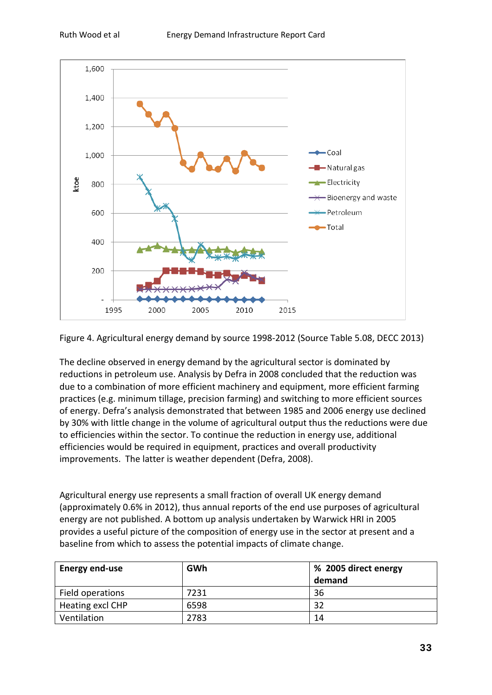

Figure 4. Agricultural energy demand by source 1998-2012 (Source Table 5.08, DECC 2013)

The decline observed in energy demand by the agricultural sector is dominated by reductions in petroleum use. Analysis by Defra in 2008 concluded that the reduction was due to a combination of more efficient machinery and equipment, more efficient farming practices (e.g. minimum tillage, precision farming) and switching to more efficient sources of energy. Defra's analysis demonstrated that between 1985 and 2006 energy use declined by 30% with little change in the volume of agricultural output thus the reductions were due to efficiencies within the sector. To continue the reduction in energy use, additional efficiencies would be required in equipment, practices and overall productivity improvements. The latter is weather dependent (Defra, 2008).

Agricultural energy use represents a small fraction of overall UK energy demand (approximately 0.6% in 2012), thus annual reports of the end use purposes of agricultural energy are not published. A bottom up analysis undertaken by Warwick HRI in 2005 provides a useful picture of the composition of energy use in the sector at present and a baseline from which to assess the potential impacts of climate change.

| <b>Energy end-use</b> | GWh  | % 2005 direct energy |
|-----------------------|------|----------------------|
|                       |      | demand               |
| Field operations      | 7231 | 36                   |
| Heating excl CHP      | 6598 | 32                   |
| Ventilation           | 2783 | 14                   |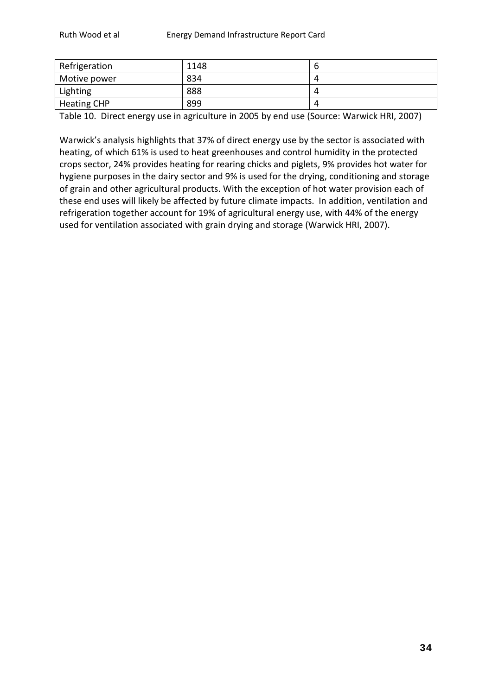| Refrigeration      | 1148 |  |
|--------------------|------|--|
| Motive power       | 834  |  |
| Lighting           | 888  |  |
| <b>Heating CHP</b> | 899  |  |

Table 10. Direct energy use in agriculture in 2005 by end use (Source: Warwick HRI, 2007)

Warwick's analysis highlights that 37% of direct energy use by the sector is associated with heating, of which 61% is used to heat greenhouses and control humidity in the protected crops sector, 24% provides heating for rearing chicks and piglets, 9% provides hot water for hygiene purposes in the dairy sector and 9% is used for the drying, conditioning and storage of grain and other agricultural products. With the exception of hot water provision each of these end uses will likely be affected by future climate impacts. In addition, ventilation and refrigeration together account for 19% of agricultural energy use, with 44% of the energy used for ventilation associated with grain drying and storage (Warwick HRI, 2007).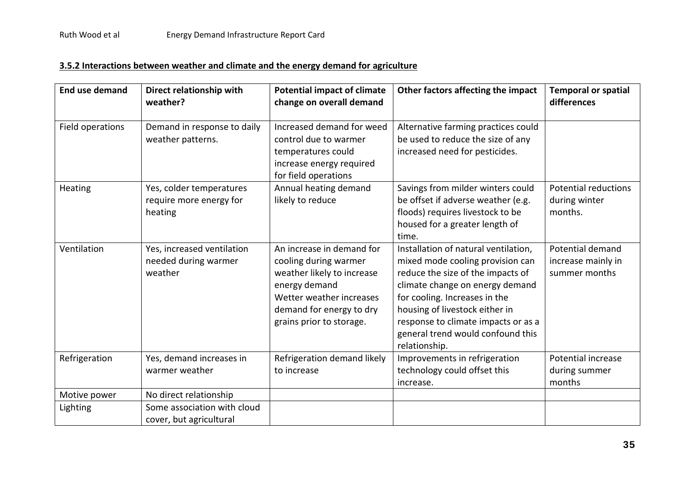# **3.5.2 Interactions between weather and climate and the energy demand for agriculture**

| <b>End use demand</b>    | Direct relationship with<br>weather?                                             | <b>Potential impact of climate</b><br>change on overall demand                                                                                                                        | Other factors affecting the impact                                                                                                                                                                                                                                                                               | <b>Temporal or spatial</b><br>differences               |
|--------------------------|----------------------------------------------------------------------------------|---------------------------------------------------------------------------------------------------------------------------------------------------------------------------------------|------------------------------------------------------------------------------------------------------------------------------------------------------------------------------------------------------------------------------------------------------------------------------------------------------------------|---------------------------------------------------------|
| Field operations         | Demand in response to daily<br>weather patterns.                                 | Increased demand for weed<br>control due to warmer<br>temperatures could<br>increase energy required<br>for field operations                                                          | Alternative farming practices could<br>be used to reduce the size of any<br>increased need for pesticides.                                                                                                                                                                                                       |                                                         |
| Heating                  | Yes, colder temperatures<br>require more energy for<br>heating                   | Annual heating demand<br>likely to reduce                                                                                                                                             | Savings from milder winters could<br>be offset if adverse weather (e.g.<br>floods) requires livestock to be<br>housed for a greater length of<br>time.                                                                                                                                                           | <b>Potential reductions</b><br>during winter<br>months. |
| Ventilation              | Yes, increased ventilation<br>needed during warmer<br>weather                    | An increase in demand for<br>cooling during warmer<br>weather likely to increase<br>energy demand<br>Wetter weather increases<br>demand for energy to dry<br>grains prior to storage. | Installation of natural ventilation,<br>mixed mode cooling provision can<br>reduce the size of the impacts of<br>climate change on energy demand<br>for cooling. Increases in the<br>housing of livestock either in<br>response to climate impacts or as a<br>general trend would confound this<br>relationship. | Potential demand<br>increase mainly in<br>summer months |
| Refrigeration            | Yes, demand increases in<br>warmer weather                                       | Refrigeration demand likely<br>to increase                                                                                                                                            | Improvements in refrigeration<br>technology could offset this<br>increase.                                                                                                                                                                                                                                       | Potential increase<br>during summer<br>months           |
| Motive power<br>Lighting | No direct relationship<br>Some association with cloud<br>cover, but agricultural |                                                                                                                                                                                       |                                                                                                                                                                                                                                                                                                                  |                                                         |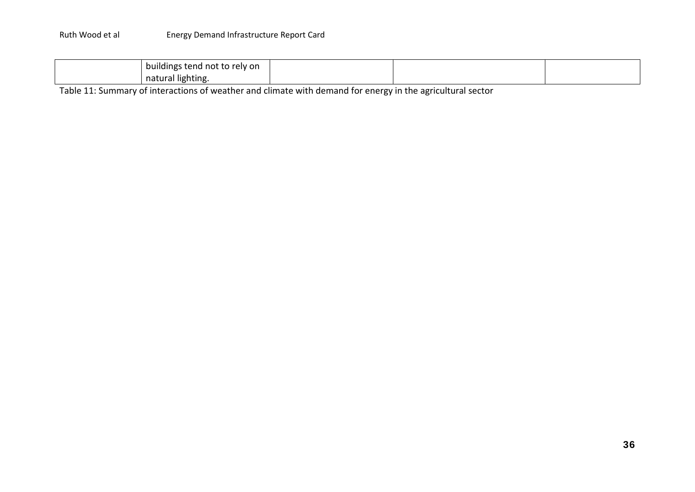| buildings<br>s tend not to relv on . |  |  |
|--------------------------------------|--|--|
| natural lighting.                    |  |  |

Table 11: Summary of interactions of weather and climate with demand for energy in the agricultural sector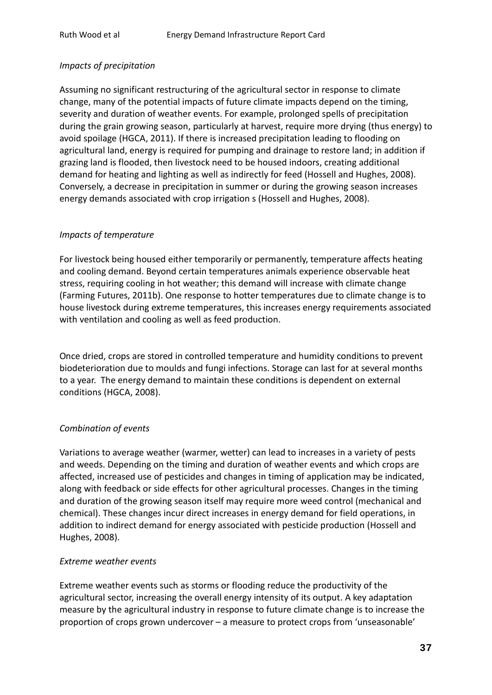#### *Impacts of precipitation*

Assuming no significant restructuring of the agricultural sector in response to climate change, many of the potential impacts of future climate impacts depend on the timing, severity and duration of weather events. For example, prolonged spells of precipitation during the grain growing season, particularly at harvest, require more drying (thus energy) to avoid spoilage (HGCA, 2011). If there is increased precipitation leading to flooding on agricultural land, energy is required for pumping and drainage to restore land; in addition if grazing land is flooded, then livestock need to be housed indoors, creating additional demand for heating and lighting as well as indirectly for feed (Hossell and Hughes, 2008). Conversely, a decrease in precipitation in summer or during the growing season increases energy demands associated with crop irrigation s (Hossell and Hughes, 2008).

#### *Impacts of temperature*

For livestock being housed either temporarily or permanently, temperature affects heating and cooling demand. Beyond certain temperatures animals experience observable heat stress, requiring cooling in hot weather; this demand will increase with climate change (Farming Futures, 2011b). One response to hotter temperatures due to climate change is to house livestock during extreme temperatures, this increases energy requirements associated with ventilation and cooling as well as feed production.

Once dried, crops are stored in controlled temperature and humidity conditions to prevent biodeterioration due to moulds and fungi infections. Storage can last for at several months to a year. The energy demand to maintain these conditions is dependent on external conditions (HGCA, 2008).

### *Combination of events*

Variations to average weather (warmer, wetter) can lead to increases in a variety of pests and weeds. Depending on the timing and duration of weather events and which crops are affected, increased use of pesticides and changes in timing of application may be indicated, along with feedback or side effects for other agricultural processes. Changes in the timing and duration of the growing season itself may require more weed control (mechanical and chemical). These changes incur direct increases in energy demand for field operations, in addition to indirect demand for energy associated with pesticide production (Hossell and Hughes, 2008).

#### *Extreme weather events*

Extreme weather events such as storms or flooding reduce the productivity of the agricultural sector, increasing the overall energy intensity of its output. A key adaptation measure by the agricultural industry in response to future climate change is to increase the proportion of crops grown undercover – a measure to protect crops from 'unseasonable'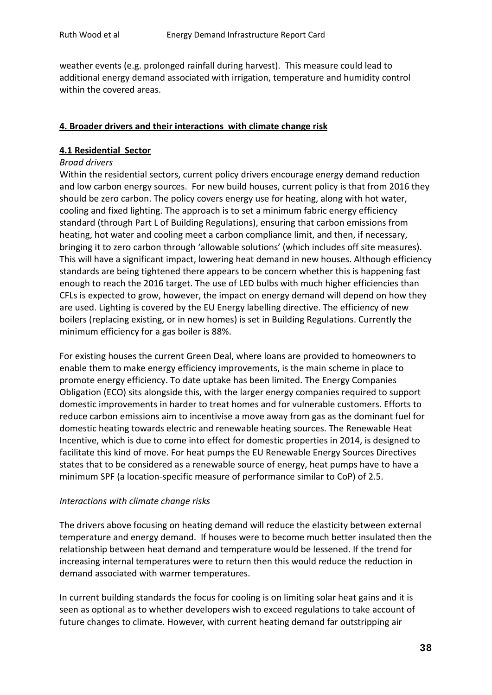weather events (e.g. prolonged rainfall during harvest). This measure could lead to additional energy demand associated with irrigation, temperature and humidity control within the covered areas.

#### **4. Broader drivers and their interactions with climate change risk**

#### **4.1 Residential Sector**

#### *Broad drivers*

Within the residential sectors, current policy drivers encourage energy demand reduction and low carbon energy sources. For new build houses, current policy is that from 2016 they should be zero carbon. The policy covers energy use for heating, along with hot water, cooling and fixed lighting. The approach is to set a minimum fabric energy efficiency standard (through Part L of Building Regulations), ensuring that carbon emissions from heating, hot water and cooling meet a carbon compliance limit, and then, if necessary, bringing it to zero carbon through 'allowable solutions' (which includes off site measures). This will have a significant impact, lowering heat demand in new houses. Although efficiency standards are being tightened there appears to be concern whether this is happening fast enough to reach the 2016 target. The use of LED bulbs with much higher efficiencies than CFLs is expected to grow, however, the impact on energy demand will depend on how they are used. Lighting is covered by the EU Energy labelling directive. The efficiency of new boilers (replacing existing, or in new homes) is set in Building Regulations. Currently the minimum efficiency for a gas boiler is 88%.

For existing houses the current Green Deal, where loans are provided to homeowners to enable them to make energy efficiency improvements, is the main scheme in place to promote energy efficiency. To date uptake has been limited. The Energy Companies Obligation (ECO) sits alongside this, with the larger energy companies required to support domestic improvements in harder to treat homes and for vulnerable customers. Efforts to reduce carbon emissions aim to incentivise a move away from gas as the dominant fuel for domestic heating towards electric and renewable heating sources. The Renewable Heat Incentive, which is due to come into effect for domestic properties in 2014, is designed to facilitate this kind of move. For heat pumps the EU Renewable Energy Sources Directives states that to be considered as a renewable source of energy, heat pumps have to have a minimum SPF (a location-specific measure of performance similar to CoP) of 2.5.

#### *Interactions with climate change risks*

The drivers above focusing on heating demand will reduce the elasticity between external temperature and energy demand. If houses were to become much better insulated then the relationship between heat demand and temperature would be lessened. If the trend for increasing internal temperatures were to return then this would reduce the reduction in demand associated with warmer temperatures.

In current building standards the focus for cooling is on limiting solar heat gains and it is seen as optional as to whether developers wish to exceed regulations to take account of future changes to climate. However, with current heating demand far outstripping air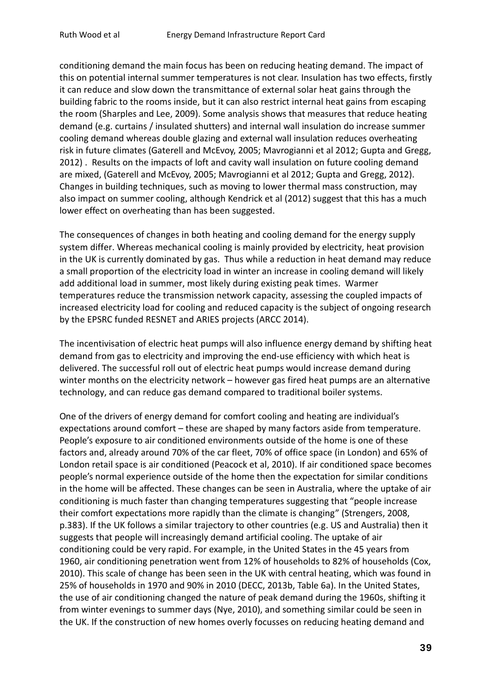conditioning demand the main focus has been on reducing heating demand. The impact of this on potential internal summer temperatures is not clear. Insulation has two effects, firstly it can reduce and slow down the transmittance of external solar heat gains through the building fabric to the rooms inside, but it can also restrict internal heat gains from escaping the room (Sharples and Lee, 2009). Some analysis shows that measures that reduce heating demand (e.g. curtains / insulated shutters) and internal wall insulation do increase summer cooling demand whereas double glazing and external wall insulation reduces overheating risk in future climates (Gaterell and McEvoy, 2005; Mavrogianni et al 2012; Gupta and Gregg, 2012) . Results on the impacts of loft and cavity wall insulation on future cooling demand are mixed, (Gaterell and McEvoy, 2005; Mavrogianni et al 2012; Gupta and Gregg, 2012). Changes in building techniques, such as moving to lower thermal mass construction, may also impact on summer cooling, although Kendrick et al (2012) suggest that this has a much lower effect on overheating than has been suggested.

The consequences of changes in both heating and cooling demand for the energy supply system differ. Whereas mechanical cooling is mainly provided by electricity, heat provision in the UK is currently dominated by gas. Thus while a reduction in heat demand may reduce a small proportion of the electricity load in winter an increase in cooling demand will likely add additional load in summer, most likely during existing peak times. Warmer temperatures reduce the transmission network capacity, assessing the coupled impacts of increased electricity load for cooling and reduced capacity is the subject of ongoing research by the EPSRC funded RESNET and ARIES projects (ARCC 2014).

The incentivisation of electric heat pumps will also influence energy demand by shifting heat demand from gas to electricity and improving the end-use efficiency with which heat is delivered. The successful roll out of electric heat pumps would increase demand during winter months on the electricity network – however gas fired heat pumps are an alternative technology, and can reduce gas demand compared to traditional boiler systems.

One of the drivers of energy demand for comfort cooling and heating are individual's expectations around comfort – these are shaped by many factors aside from temperature. People's exposure to air conditioned environments outside of the home is one of these factors and, already around 70% of the car fleet, 70% of office space (in London) and 65% of London retail space is air conditioned (Peacock et al, 2010). If air conditioned space becomes people's normal experience outside of the home then the expectation for similar conditions in the home will be affected. These changes can be seen in Australia, where the uptake of air conditioning is much faster than changing temperatures suggesting that "people increase their comfort expectations more rapidly than the climate is changing" (Strengers, 2008, p.383). If the UK follows a similar trajectory to other countries (e.g. US and Australia) then it suggests that people will increasingly demand artificial cooling. The uptake of air conditioning could be very rapid. For example, in the United States in the 45 years from 1960, air conditioning penetration went from 12% of households to 82% of households (Cox, 2010). This scale of change has been seen in the UK with central heating, which was found in 25% of households in 1970 and 90% in 2010 (DECC, 2013b, Table 6a). In the United States, the use of air conditioning changed the nature of peak demand during the 1960s, shifting it from winter evenings to summer days (Nye, 2010), and something similar could be seen in the UK. If the construction of new homes overly focusses on reducing heating demand and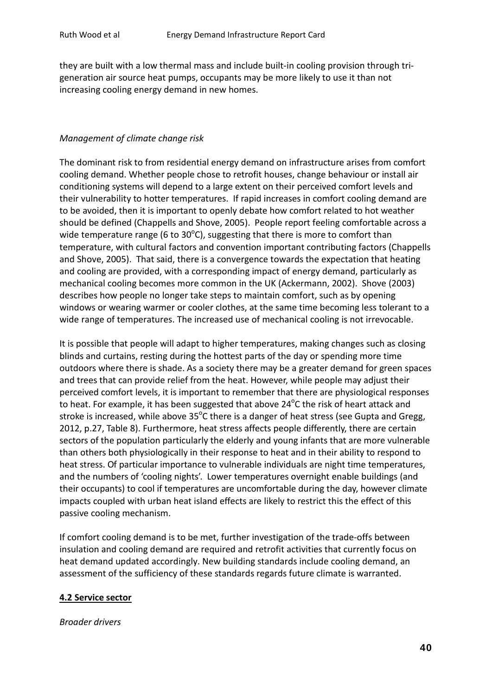they are built with a low thermal mass and include built-in cooling provision through trigeneration air source heat pumps, occupants may be more likely to use it than not increasing cooling energy demand in new homes.

#### *Management of climate change risk*

The dominant risk to from residential energy demand on infrastructure arises from comfort cooling demand. Whether people chose to retrofit houses, change behaviour or install air conditioning systems will depend to a large extent on their perceived comfort levels and their vulnerability to hotter temperatures. If rapid increases in comfort cooling demand are to be avoided, then it is important to openly debate how comfort related to hot weather should be defined (Chappells and Shove, 2005). People report feeling comfortable across a wide temperature range (6 to 30 $^{\circ}$ C), suggesting that there is more to comfort than temperature, with cultural factors and convention important contributing factors (Chappells and Shove, 2005). That said, there is a convergence towards the expectation that heating and cooling are provided, with a corresponding impact of energy demand, particularly as mechanical cooling becomes more common in the UK (Ackermann, 2002). Shove (2003) describes how people no longer take steps to maintain comfort, such as by opening windows or wearing warmer or cooler clothes, at the same time becoming less tolerant to a wide range of temperatures. The increased use of mechanical cooling is not irrevocable.

It is possible that people will adapt to higher temperatures, making changes such as closing blinds and curtains, resting during the hottest parts of the day or spending more time outdoors where there is shade. As a society there may be a greater demand for green spaces and trees that can provide relief from the heat. However, while people may adjust their perceived comfort levels, it is important to remember that there are physiological responses to heat. For example, it has been suggested that above 24 $\rm ^oC$  the risk of heart attack and stroke is increased, while above 35 $^{\circ}$ C there is a danger of heat stress (see Gupta and Gregg, 2012, p.27, Table 8). Furthermore, heat stress affects people differently, there are certain sectors of the population particularly the elderly and young infants that are more vulnerable than others both physiologically in their response to heat and in their ability to respond to heat stress. Of particular importance to vulnerable individuals are night time temperatures, and the numbers of 'cooling nights'. Lower temperatures overnight enable buildings (and their occupants) to cool if temperatures are uncomfortable during the day, however climate impacts coupled with urban heat island effects are likely to restrict this the effect of this passive cooling mechanism.

If comfort cooling demand is to be met, further investigation of the trade-offs between insulation and cooling demand are required and retrofit activities that currently focus on heat demand updated accordingly. New building standards include cooling demand, an assessment of the sufficiency of these standards regards future climate is warranted.

#### **4.2 Service sector**

#### *Broader drivers*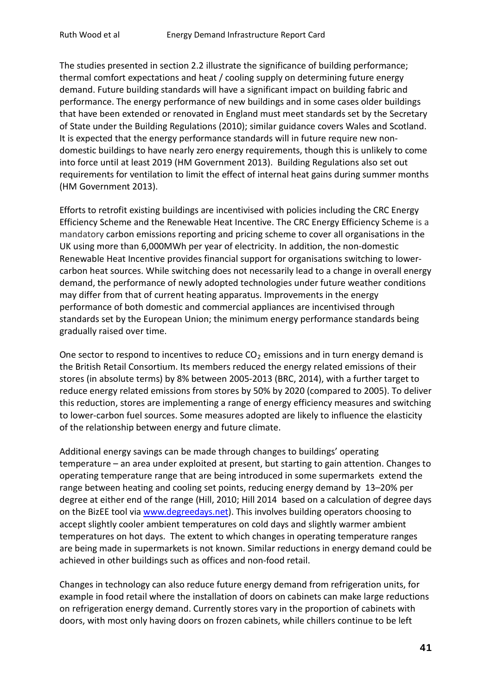The studies presented in section 2.2 illustrate the significance of building performance; thermal comfort expectations and heat / cooling supply on determining future energy demand. Future building standards will have a significant impact on building fabric and performance. The energy performance of new buildings and in some cases older buildings that have been extended or renovated in England must meet standards set by the Secretary of State under the Building Regulations (2010); similar guidance covers Wales and Scotland. It is expected that the energy performance standards will in future require new nondomestic buildings to have nearly zero energy requirements, though this is unlikely to come into force until at least 2019 (HM Government 2013). Building Regulations also set out requirements for ventilation to limit the effect of internal heat gains during summer months (HM Government 2013).

Efforts to retrofit existing buildings are incentivised with policies including the CRC Energy Efficiency Scheme and the Renewable Heat Incentive. The CRC Energy Efficiency Scheme is a mandatory carbon emissions reporting and pricing scheme to cover all organisations in the UK using more than 6,000MWh per year of electricity. In addition, the non-domestic Renewable Heat Incentive provides financial support for organisations switching to lowercarbon heat sources. While switching does not necessarily lead to a change in overall energy demand, the performance of newly adopted technologies under future weather conditions may differ from that of current heating apparatus. Improvements in the energy performance of both domestic and commercial appliances are incentivised through standards set by the European Union; the minimum energy performance standards being gradually raised over time.

One sector to respond to incentives to reduce  $CO<sub>2</sub>$  emissions and in turn energy demand is the British Retail Consortium. Its members reduced the energy related emissions of their stores (in absolute terms) by 8% between 2005-2013 (BRC, 2014), with a further target to reduce energy related emissions from stores by 50% by 2020 (compared to 2005). To deliver this reduction, stores are implementing a range of energy efficiency measures and switching to lower-carbon fuel sources. Some measures adopted are likely to influence the elasticity of the relationship between energy and future climate.

Additional energy savings can be made through changes to buildings' operating temperature – an area under exploited at present, but starting to gain attention. Changes to operating temperature range that are being introduced in some supermarkets extend the range between heating and cooling set points, reducing energy demand by 13–20% per degree at either end of the range (Hill, 2010; Hill 2014 based on a calculation of degree days on the BizEE tool via [www.degreedays.net\)](http://www.degreedays.net/). This involves building operators choosing to accept slightly cooler ambient temperatures on cold days and slightly warmer ambient temperatures on hot days. The extent to which changes in operating temperature ranges are being made in supermarkets is not known. Similar reductions in energy demand could be achieved in other buildings such as offices and non-food retail.

Changes in technology can also reduce future energy demand from refrigeration units, for example in food retail where the installation of doors on cabinets can make large reductions on refrigeration energy demand. Currently stores vary in the proportion of cabinets with doors, with most only having doors on frozen cabinets, while chillers continue to be left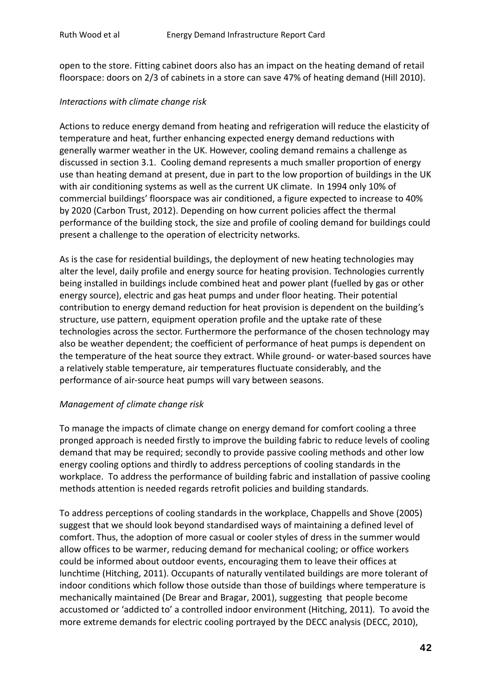open to the store. Fitting cabinet doors also has an impact on the heating demand of retail floorspace: doors on 2/3 of cabinets in a store can save 47% of heating demand (Hill 2010).

#### *Interactions with climate change risk*

Actions to reduce energy demand from heating and refrigeration will reduce the elasticity of temperature and heat, further enhancing expected energy demand reductions with generally warmer weather in the UK. However, cooling demand remains a challenge as discussed in section 3.1. Cooling demand represents a much smaller proportion of energy use than heating demand at present, due in part to the low proportion of buildings in the UK with air conditioning systems as well as the current UK climate. In 1994 only 10% of commercial buildings' floorspace was air conditioned, a figure expected to increase to 40% by 2020 (Carbon Trust, 2012). Depending on how current policies affect the thermal performance of the building stock, the size and profile of cooling demand for buildings could present a challenge to the operation of electricity networks.

As is the case for residential buildings, the deployment of new heating technologies may alter the level, daily profile and energy source for heating provision. Technologies currently being installed in buildings include combined heat and power plant (fuelled by gas or other energy source), electric and gas heat pumps and under floor heating. Their potential contribution to energy demand reduction for heat provision is dependent on the building's structure, use pattern, equipment operation profile and the uptake rate of these technologies across the sector. Furthermore the performance of the chosen technology may also be weather dependent; the coefficient of performance of heat pumps is dependent on the temperature of the heat source they extract. While ground- or water-based sources have a relatively stable temperature, air temperatures fluctuate considerably, and the performance of air-source heat pumps will vary between seasons.

#### *Management of climate change risk*

To manage the impacts of climate change on energy demand for comfort cooling a three pronged approach is needed firstly to improve the building fabric to reduce levels of cooling demand that may be required; secondly to provide passive cooling methods and other low energy cooling options and thirdly to address perceptions of cooling standards in the workplace. To address the performance of building fabric and installation of passive cooling methods attention is needed regards retrofit policies and building standards.

To address perceptions of cooling standards in the workplace, Chappells and Shove (2005) suggest that we should look beyond standardised ways of maintaining a defined level of comfort. Thus, the adoption of more casual or cooler styles of dress in the summer would allow offices to be warmer, reducing demand for mechanical cooling; or office workers could be informed about outdoor events, encouraging them to leave their offices at lunchtime (Hitching, 2011). Occupants of naturally ventilated buildings are more tolerant of indoor conditions which follow those outside than those of buildings where temperature is mechanically maintained (De Brear and Bragar, 2001), suggesting that people become accustomed or 'addicted to' a controlled indoor environment (Hitching, 2011). To avoid the more extreme demands for electric cooling portrayed by the DECC analysis (DECC, 2010),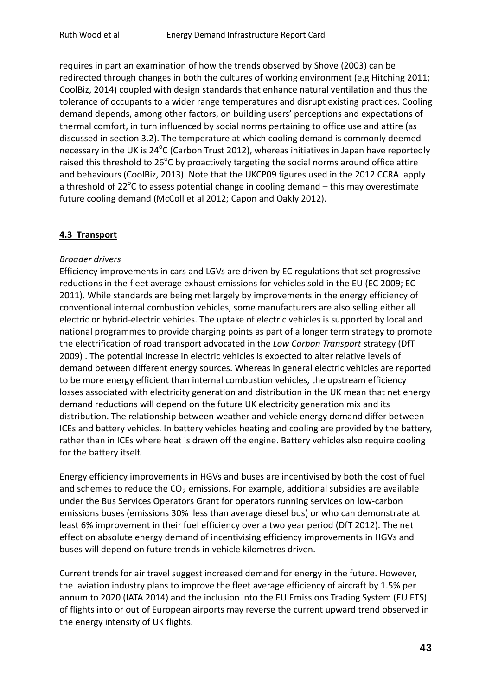requires in part an examination of how the trends observed by Shove (2003) can be redirected through changes in both the cultures of working environment (e.g Hitching 2011; CoolBiz, 2014) coupled with design standards that enhance natural ventilation and thus the tolerance of occupants to a wider range temperatures and disrupt existing practices. Cooling demand depends, among other factors, on building users' perceptions and expectations of thermal comfort, in turn influenced by social norms pertaining to office use and attire (as discussed in section 3.2). The temperature at which cooling demand is commonly deemed necessary in the UK is  $24^{\circ}$ C (Carbon Trust 2012), whereas initiatives in Japan have reportedly raised this threshold to 26°C by proactively targeting the social norms around office attire and behaviours (CoolBiz, 2013). Note that the UKCP09 figures used in the 2012 CCRA apply a threshold of 22°C to assess potential change in cooling demand - this may overestimate future cooling demand (McColl et al 2012; Capon and Oakly 2012).

### **4.3 Transport**

#### *Broader drivers*

Efficiency improvements in cars and LGVs are driven by EC regulations that set progressive reductions in the fleet average exhaust emissions for vehicles sold in the EU (EC 2009; EC 2011). While standards are being met largely by improvements in the energy efficiency of conventional internal combustion vehicles, some manufacturers are also selling either all electric or hybrid-electric vehicles. The uptake of electric vehicles is supported by local and national programmes to provide charging points as part of a longer term strategy to promote the electrification of road transport advocated in the *Low Carbon Transport* strategy (DfT 2009) . The potential increase in electric vehicles is expected to alter relative levels of demand between different energy sources. Whereas in general electric vehicles are reported to be more energy efficient than internal combustion vehicles, the upstream efficiency losses associated with electricity generation and distribution in the UK mean that net energy demand reductions will depend on the future UK electricity generation mix and its distribution. The relationship between weather and vehicle energy demand differ between ICEs and battery vehicles. In battery vehicles heating and cooling are provided by the battery, rather than in ICEs where heat is drawn off the engine. Battery vehicles also require cooling for the battery itself.

Energy efficiency improvements in HGVs and buses are incentivised by both the cost of fuel and schemes to reduce the  $CO<sub>2</sub>$  emissions. For example, additional subsidies are available under the Bus Services Operators Grant for operators running services on low-carbon emissions buses (emissions 30% less than average diesel bus) or who can demonstrate at least 6% improvement in their fuel efficiency over a two year period (DfT 2012). The net effect on absolute energy demand of incentivising efficiency improvements in HGVs and buses will depend on future trends in vehicle kilometres driven.

Current trends for air travel suggest increased demand for energy in the future. However, the aviation industry plans to improve the fleet average efficiency of aircraft by 1.5% per annum to 2020 (IATA 2014) and the inclusion into the EU Emissions Trading System (EU ETS) of flights into or out of European airports may reverse the current upward trend observed in the energy intensity of UK flights.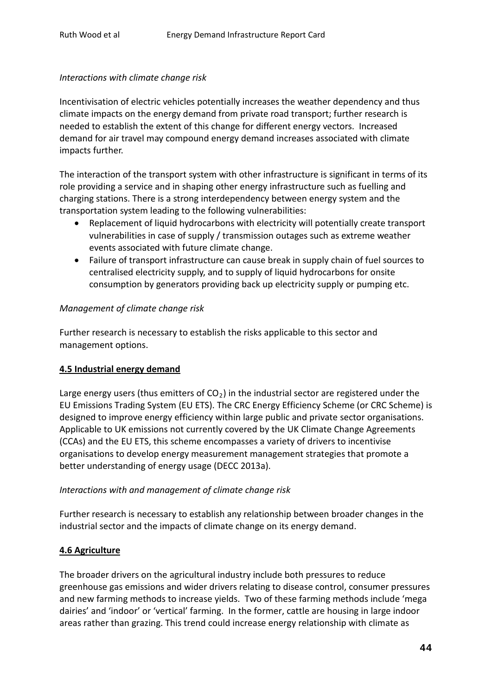#### *Interactions with climate change risk*

Incentivisation of electric vehicles potentially increases the weather dependency and thus climate impacts on the energy demand from private road transport; further research is needed to establish the extent of this change for different energy vectors. Increased demand for air travel may compound energy demand increases associated with climate impacts further.

The interaction of the transport system with other infrastructure is significant in terms of its role providing a service and in shaping other energy infrastructure such as fuelling and charging stations. There is a strong interdependency between energy system and the transportation system leading to the following vulnerabilities:

- Replacement of liquid hydrocarbons with electricity will potentially create transport vulnerabilities in case of supply / transmission outages such as extreme weather events associated with future climate change.
- Failure of transport infrastructure can cause break in supply chain of fuel sources to centralised electricity supply, and to supply of liquid hydrocarbons for onsite consumption by generators providing back up electricity supply or pumping etc.

#### *Management of climate change risk*

Further research is necessary to establish the risks applicable to this sector and management options.

#### **4.5 Industrial energy demand**

Large energy users (thus emitters of  $CO<sub>2</sub>$ ) in the industrial sector are registered under the EU Emissions Trading System (EU ETS). The CRC Energy Efficiency Scheme (or CRC Scheme) is designed to improve energy efficiency within large public and private sector organisations. Applicable to UK emissions not currently covered by the UK Climate Change Agreements (CCAs) and the EU ETS, this scheme encompasses a variety of drivers to incentivise organisations to develop energy measurement management strategies that promote a better understanding of energy usage (DECC 2013a).

#### *Interactions with and management of climate change risk*

Further research is necessary to establish any relationship between broader changes in the industrial sector and the impacts of climate change on its energy demand.

### **4.6 Agriculture**

The broader drivers on the agricultural industry include both pressures to reduce greenhouse gas emissions and wider drivers relating to disease control, consumer pressures and new farming methods to increase yields. Two of these farming methods include 'mega dairies' and 'indoor' or 'vertical' farming. In the former, cattle are housing in large indoor areas rather than grazing. This trend could increase energy relationship with climate as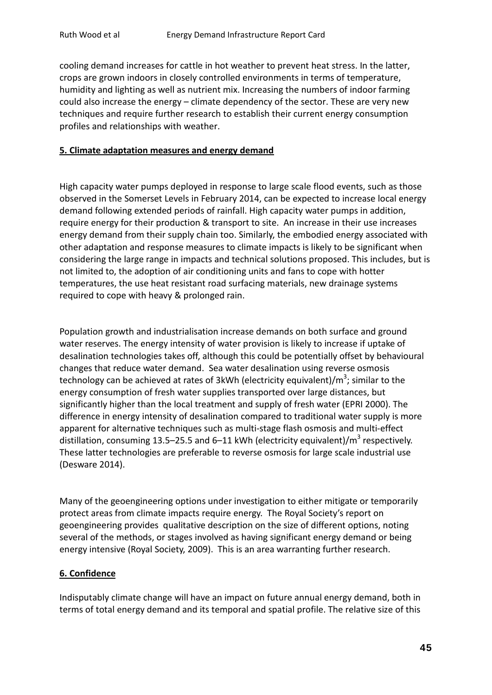cooling demand increases for cattle in hot weather to prevent heat stress. In the latter, crops are grown indoors in closely controlled environments in terms of temperature, humidity and lighting as well as nutrient mix. Increasing the numbers of indoor farming could also increase the energy – climate dependency of the sector. These are very new techniques and require further research to establish their current energy consumption profiles and relationships with weather.

#### **5. Climate adaptation measures and energy demand**

High capacity water pumps deployed in response to large scale flood events, such as those observed in the Somerset Levels in February 2014, can be expected to increase local energy demand following extended periods of rainfall. High capacity water pumps in addition, require energy for their production & transport to site. An increase in their use increases energy demand from their supply chain too. Similarly, the embodied energy associated with other adaptation and response measures to climate impacts is likely to be significant when considering the large range in impacts and technical solutions proposed. This includes, but is not limited to, the adoption of air conditioning units and fans to cope with hotter temperatures, the use heat resistant road surfacing materials, new drainage systems required to cope with heavy & prolonged rain.

Population growth and industrialisation increase demands on both surface and ground water reserves. The energy intensity of water provision is likely to increase if uptake of desalination technologies takes off, although this could be potentially offset by behavioural changes that reduce water demand. Sea water desalination using reverse osmosis technology can be achieved at rates of 3kWh (electricity equivalent)/ $m^3$ ; similar to the energy consumption of fresh water supplies transported over large distances, but significantly higher than the local treatment and supply of fresh water (EPRI 2000). The difference in energy intensity of desalination compared to traditional water supply is more apparent for alternative techniques such as multi-stage flash osmosis and multi-effect distillation, consuming 13.5–25.5 and 6–11 kWh (electricity equivalent)/ $m^3$  respectively. These latter technologies are preferable to reverse osmosis for large scale industrial use (Desware 2014).

Many of the geoengineering options under investigation to either mitigate or temporarily protect areas from climate impacts require energy. The Royal Society's report on geoengineering provides qualitative description on the size of different options, noting several of the methods, or stages involved as having significant energy demand or being energy intensive (Royal Society, 2009). This is an area warranting further research.

#### **6. Confidence**

Indisputably climate change will have an impact on future annual energy demand, both in terms of total energy demand and its temporal and spatial profile. The relative size of this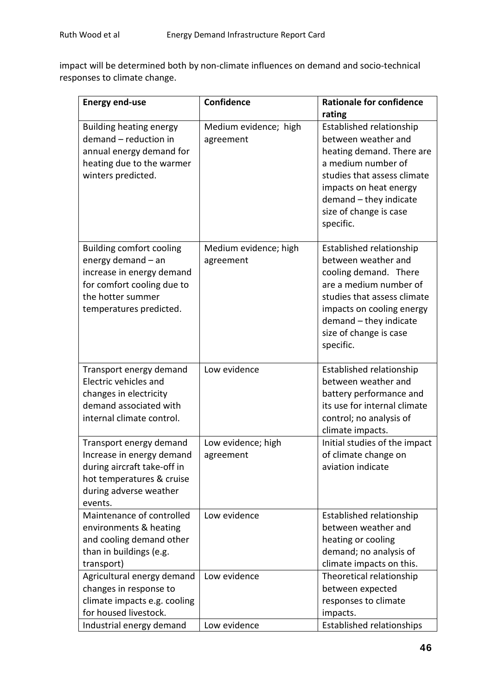impact will be determined both by non-climate influences on demand and socio-technical responses to climate change.

| <b>Energy end-use</b>                                                                                                                                            | Confidence                         | <b>Rationale for confidence</b>                                                                                                                                                                                                 |
|------------------------------------------------------------------------------------------------------------------------------------------------------------------|------------------------------------|---------------------------------------------------------------------------------------------------------------------------------------------------------------------------------------------------------------------------------|
|                                                                                                                                                                  |                                    | rating<br>Established relationship                                                                                                                                                                                              |
| <b>Building heating energy</b><br>demand - reduction in<br>annual energy demand for<br>heating due to the warmer<br>winters predicted.                           | Medium evidence; high<br>agreement | between weather and<br>heating demand. There are<br>a medium number of<br>studies that assess climate<br>impacts on heat energy<br>demand - they indicate<br>size of change is case<br>specific.                                |
| <b>Building comfort cooling</b><br>energy demand - an<br>increase in energy demand<br>for comfort cooling due to<br>the hotter summer<br>temperatures predicted. | Medium evidence; high<br>agreement | Established relationship<br>between weather and<br>cooling demand. There<br>are a medium number of<br>studies that assess climate<br>impacts on cooling energy<br>demand - they indicate<br>size of change is case<br>specific. |
| Transport energy demand<br>Electric vehicles and<br>changes in electricity<br>demand associated with<br>internal climate control.                                | Low evidence                       | Established relationship<br>between weather and<br>battery performance and<br>its use for internal climate<br>control; no analysis of<br>climate impacts.                                                                       |
| Transport energy demand<br>Increase in energy demand<br>during aircraft take-off in<br>hot temperatures & cruise<br>during adverse weather<br>events.            | Low evidence; high<br>agreement    | Initial studies of the impact<br>of climate change on<br>aviation indicate                                                                                                                                                      |
| Maintenance of controlled<br>environments & heating<br>and cooling demand other<br>than in buildings (e.g.<br>transport)                                         | Low evidence                       | Established relationship<br>between weather and<br>heating or cooling<br>demand; no analysis of<br>climate impacts on this.                                                                                                     |
| Agricultural energy demand<br>changes in response to<br>climate impacts e.g. cooling<br>for housed livestock.<br>Industrial energy demand                        | Low evidence<br>Low evidence       | Theoretical relationship<br>between expected<br>responses to climate<br>impacts.<br>Established relationships                                                                                                                   |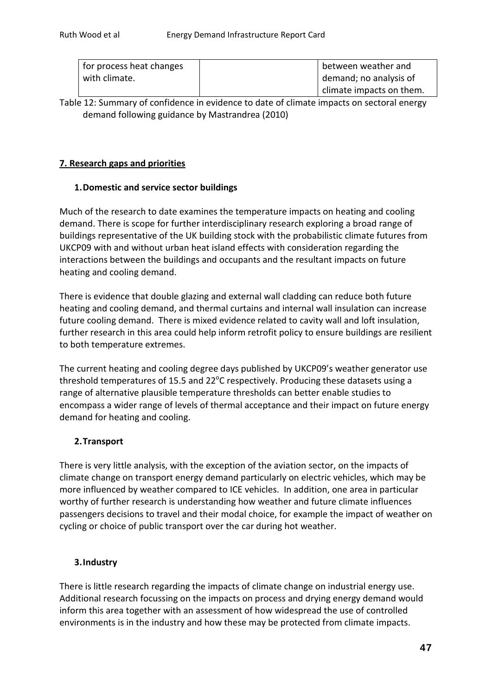| for process heat changes | between weather and      |
|--------------------------|--------------------------|
| with climate.            | demand; no analysis of   |
|                          | climate impacts on them. |

Table 12: Summary of confidence in evidence to date of climate impacts on sectoral energy demand following guidance by Mastrandrea (2010)

# **7. Research gaps and priorities**

### **1.Domestic and service sector buildings**

Much of the research to date examines the temperature impacts on heating and cooling demand. There is scope for further interdisciplinary research exploring a broad range of buildings representative of the UK building stock with the probabilistic climate futures from UKCP09 with and without urban heat island effects with consideration regarding the interactions between the buildings and occupants and the resultant impacts on future heating and cooling demand.

There is evidence that double glazing and external wall cladding can reduce both future heating and cooling demand, and thermal curtains and internal wall insulation can increase future cooling demand. There is mixed evidence related to cavity wall and loft insulation, further research in this area could help inform retrofit policy to ensure buildings are resilient to both temperature extremes.

The current heating and cooling degree days published by UKCP09's weather generator use threshold temperatures of 15.5 and 22 $^{\circ}$ C respectively. Producing these datasets using a range of alternative plausible temperature thresholds can better enable studies to encompass a wider range of levels of thermal acceptance and their impact on future energy demand for heating and cooling.

### **2.Transport**

There is very little analysis, with the exception of the aviation sector, on the impacts of climate change on transport energy demand particularly on electric vehicles, which may be more influenced by weather compared to ICE vehicles. In addition, one area in particular worthy of further research is understanding how weather and future climate influences passengers decisions to travel and their modal choice, for example the impact of weather on cycling or choice of public transport over the car during hot weather.

### **3.Industry**

There is little research regarding the impacts of climate change on industrial energy use. Additional research focussing on the impacts on process and drying energy demand would inform this area together with an assessment of how widespread the use of controlled environments is in the industry and how these may be protected from climate impacts.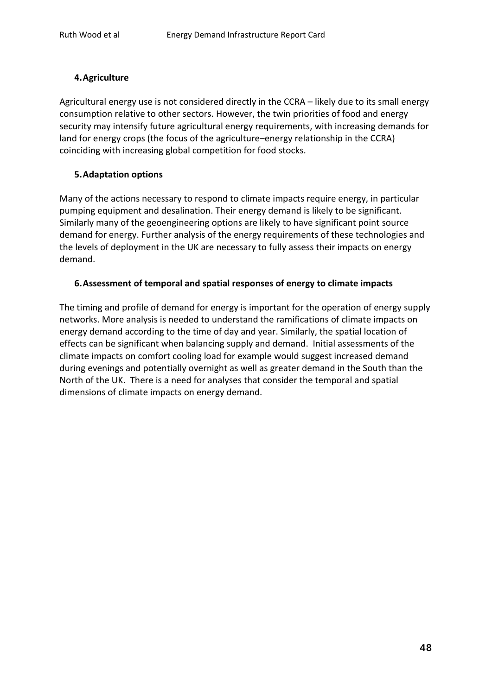#### **4.Agriculture**

Agricultural energy use is not considered directly in the CCRA – likely due to its small energy consumption relative to other sectors. However, the twin priorities of food and energy security may intensify future agricultural energy requirements, with increasing demands for land for energy crops (the focus of the agriculture–energy relationship in the CCRA) coinciding with increasing global competition for food stocks.

#### **5.Adaptation options**

Many of the actions necessary to respond to climate impacts require energy, in particular pumping equipment and desalination. Their energy demand is likely to be significant. Similarly many of the geoengineering options are likely to have significant point source demand for energy. Further analysis of the energy requirements of these technologies and the levels of deployment in the UK are necessary to fully assess their impacts on energy demand.

#### **6.Assessment of temporal and spatial responses of energy to climate impacts**

The timing and profile of demand for energy is important for the operation of energy supply networks. More analysis is needed to understand the ramifications of climate impacts on energy demand according to the time of day and year. Similarly, the spatial location of effects can be significant when balancing supply and demand. Initial assessments of the climate impacts on comfort cooling load for example would suggest increased demand during evenings and potentially overnight as well as greater demand in the South than the North of the UK. There is a need for analyses that consider the temporal and spatial dimensions of climate impacts on energy demand.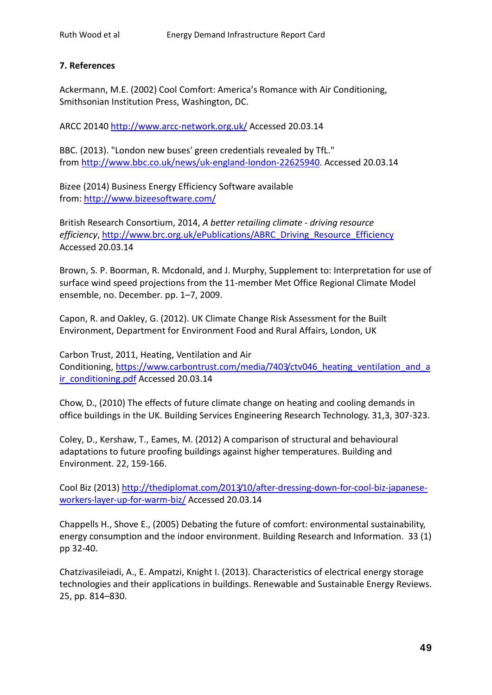## **7. References**

Ackermann, M.E. (2002) Cool Comfort: America's Romance with Air Conditioning, Smithsonian Institution Press, Washington, DC.

ARCC 20140<http://www.arcc-network.org.uk/> Accessed 20.03.14

BBC. (2013). "London new buses' green credentials revealed by TfL." from [http://www.bbc.co.uk/news/uk-england-london-22625940.](http://www.bbc.co.uk/news/uk-england-london-22625940) Accessed 20.03.14

Bizee (2014) Business Energy Efficiency Software available from[: http://www.bizeesoftware.com/](http://www.bizeesoftware.com/)

British Research Consortium, 2014, *A better retailing climate - driving resource efficiency*, [http://www.brc.org.uk/ePublications/ABRC\\_Driving\\_Resource\\_Efficiency](http://www.brc.org.uk/ePublications/ABRC_Driving_Resource_Efficiency) Accessed 20.03.14

Brown, S. P. Boorman, R. Mcdonald, and J. Murphy, Supplement to: Interpretation for use of surface wind speed projections from the 11-member Met Office Regional Climate Model ensemble, no. December. pp. 1–7, 2009.

Capon, R. and Oakley, G. (2012). UK Climate Change Risk Assessment for the Built Environment, Department for Environment Food and Rural Affairs, London, UK

Carbon Trust, 2011, Heating, Ventilation and Air Conditioning, https://www.carbontrust.com/media/7403/ctv046 heating ventilation and a [ir\\_conditioning.pdf](https://www.carbontrust.com/media/7403/ctv046_heating_ventilation_and_air_conditioning.pdf) Accessed 20.03.14

Chow, D., (2010) The effects of future climate change on heating and cooling demands in office buildings in the UK. Building Services Engineering Research Technology. 31,3, 307-323.

Coley, D., Kershaw, T., Eames, M. (2012) A comparison of structural and behavioural adaptations to future proofing buildings against higher temperatures. Building and Environment. 22, 159-166.

Cool Biz (2013) [http://thediplomat.com/2013/10/after-dressing-down-for-cool-biz-japanese](http://thediplomat.com/2013/10/after-dressing-down-for-cool-biz-japanese-workers-layer-up-for-warm-biz/)[workers-layer-up-for-warm-biz/](http://thediplomat.com/2013/10/after-dressing-down-for-cool-biz-japanese-workers-layer-up-for-warm-biz/) Accessed 20.03.14

Chappells H., Shove E., (2005) Debating the future of comfort: environmental sustainability, energy consumption and the indoor environment. Building Research and Information. 33 (1) pp 32-40.

Chatzivasileiadi, A., E. Ampatzi, Knight I. (2013). Characteristics of electrical energy storage technologies and their applications in buildings. Renewable and Sustainable Energy Reviews. 25, pp. 814–830.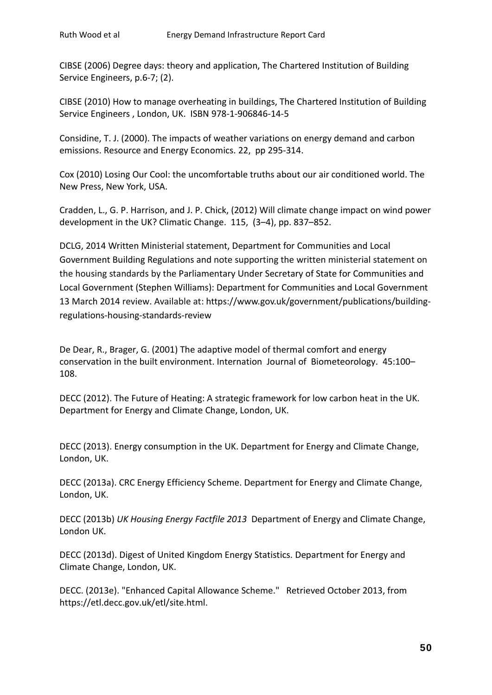CIBSE (2006) Degree days: theory and application, The Chartered Institution of Building Service Engineers, p.6-7; (2).

CIBSE (2010) How to manage overheating in buildings, The Chartered Institution of Building Service Engineers , London, UK. ISBN 978-1-906846-14-5

Considine, T. J. (2000). The impacts of weather variations on energy demand and carbon emissions. Resource and Energy Economics. 22, pp 295-314.

Cox (2010) Losing Our Cool: the uncomfortable truths about our air conditioned world. The New Press, New York, USA.

Cradden, L., G. P. Harrison, and J. P. Chick, (2012) Will climate change impact on wind power development in the UK? Climatic Change. 115, (3–4), pp. 837–852.

DCLG, 2014 Written Ministerial statement, Department for Communities and Local Government Building Regulations and note supporting the written ministerial statement on the housing standards by the Parliamentary Under Secretary of State for Communities and Local Government (Stephen Williams): Department for Communities and Local Government 13 March 2014 review. Available at: https://www.gov.uk/government/publications/buildingregulations-housing-standards-review

De Dear, R., Brager, G. (2001) The adaptive model of thermal comfort and energy conservation in the built environment. Internation Journal of Biometeorology. 45:100– 108.

DECC (2012). The Future of Heating: A strategic framework for low carbon heat in the UK. Department for Energy and Climate Change, London, UK.

DECC (2013). Energy consumption in the UK. Department for Energy and Climate Change, London, UK.

DECC (2013a). CRC Energy Efficiency Scheme. Department for Energy and Climate Change, London, UK.

DECC (2013b) *UK Housing Energy Factfile 2013* Department of Energy and Climate Change, London UK.

DECC (2013d). Digest of United Kingdom Energy Statistics. Department for Energy and Climate Change, London, UK.

DECC. (2013e). "Enhanced Capital Allowance Scheme." Retrieved October 2013, from https://etl.decc.gov.uk/etl/site.html.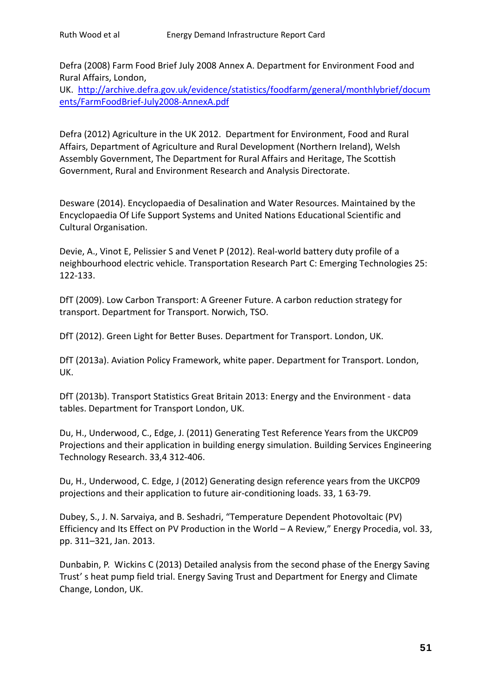Defra (2008) Farm Food Brief July 2008 Annex A. Department for Environment Food and Rural Affairs, London,

UK. [http://archive.defra.gov.uk/evidence/statistics/foodfarm/general/monthlybrief/docum](http://archive.defra.gov.uk/evidence/statistics/foodfarm/general/monthlybrief/documents/FarmFoodBrief-July2008-AnnexA.pdf) [ents/FarmFoodBrief-July2008-AnnexA.pdf](http://archive.defra.gov.uk/evidence/statistics/foodfarm/general/monthlybrief/documents/FarmFoodBrief-July2008-AnnexA.pdf)

Defra (2012) Agriculture in the UK 2012. Department for Environment, Food and Rural Affairs, Department of Agriculture and Rural Development (Northern Ireland), Welsh Assembly Government, The Department for Rural Affairs and Heritage, The Scottish Government, Rural and Environment Research and Analysis Directorate.

Desware (2014). Encyclopaedia of Desalination and Water Resources. Maintained by the Encyclopaedia Of Life Support Systems and United Nations Educational Scientific and Cultural Organisation.

Devie, A., Vinot E, Pelissier S and Venet P (2012). Real-world battery duty profile of a neighbourhood electric vehicle. Transportation Research Part C: Emerging Technologies 25: 122-133.

DfT (2009). Low Carbon Transport: A Greener Future. A carbon reduction strategy for transport. Department for Transport. Norwich, TSO.

DfT (2012). Green Light for Better Buses. Department for Transport. London, UK.

DfT (2013a). Aviation Policy Framework, white paper. Department for Transport. London, UK.

DfT (2013b). Transport Statistics Great Britain 2013: Energy and the Environment - data tables. Department for Transport London, UK.

Du, H., Underwood, C., Edge, J. (2011) Generating Test Reference Years from the UKCP09 Projections and their application in building energy simulation. Building Services Engineering Technology Research. 33,4 312-406.

Du, H., Underwood, C. Edge, J (2012) Generating design reference years from the UKCP09 projections and their application to future air-conditioning loads. 33, 1 63-79.

Dubey, S., J. N. Sarvaiya, and B. Seshadri, "Temperature Dependent Photovoltaic (PV) Efficiency and Its Effect on PV Production in the World – A Review," Energy Procedia, vol. 33, pp. 311–321, Jan. 2013.

Dunbabin, P. Wickins C (2013) Detailed analysis from the second phase of the Energy Saving Trust' s heat pump field trial. Energy Saving Trust and Department for Energy and Climate Change, London, UK.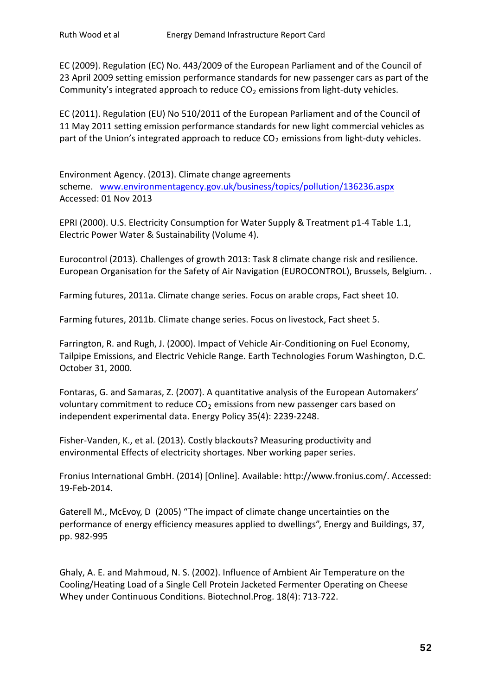EC (2009). Regulation (EC) No. 443/2009 of the European Parliament and of the Council of 23 April 2009 setting emission performance standards for new passenger cars as part of the Community's integrated approach to reduce  $CO<sub>2</sub>$  emissions from light-duty vehicles.

EC (2011). Regulation (EU) No 510/2011 of the European Parliament and of the Council of 11 May 2011 setting emission performance standards for new light commercial vehicles as part of the Union's integrated approach to reduce  $CO<sub>2</sub>$  emissions from light-duty vehicles.

Environment Agency. (2013). Climate change agreements scheme. [www.environmentagency.gov.uk/business/topics/pollution/136236.aspx](http://www.environmentagency.gov.uk/business/topics/pollution/136236.aspx) Accessed: 01 Nov 2013

EPRI (2000). U.S. Electricity Consumption for Water Supply & Treatment p1-4 Table 1.1, Electric Power Water & Sustainability (Volume 4).

Eurocontrol (2013). Challenges of growth 2013: Task 8 climate change risk and resilience. European Organisation for the Safety of Air Navigation (EUROCONTROL), Brussels, Belgium. .

Farming futures, 2011a. Climate change series. Focus on arable crops, Fact sheet 10.

Farming futures, 2011b. Climate change series. Focus on livestock, Fact sheet 5.

Farrington, R. and Rugh, J. (2000). Impact of Vehicle Air-Conditioning on Fuel Economy, Tailpipe Emissions, and Electric Vehicle Range. Earth Technologies Forum Washington, D.C. October 31, 2000.

Fontaras, G. and Samaras, Z. (2007). A quantitative analysis of the European Automakers' voluntary commitment to reduce  $CO<sub>2</sub>$  emissions from new passenger cars based on independent experimental data. Energy Policy 35(4): 2239-2248.

Fisher-Vanden, K., et al. (2013). Costly blackouts? Measuring productivity and environmental Effects of electricity shortages. Nber working paper series.

Fronius International GmbH. (2014) [Online]. Available: http://www.fronius.com/. Accessed: 19-Feb-2014.

Gaterell M., McEvoy, D (2005) "The impact of climate change uncertainties on the performance of energy efficiency measures applied to dwellings", Energy and Buildings, 37, pp. 982-995

Ghaly, A. E. and Mahmoud, N. S. (2002). Influence of Ambient Air Temperature on the Cooling/Heating Load of a Single Cell Protein Jacketed Fermenter Operating on Cheese Whey under Continuous Conditions. Biotechnol.Prog. 18(4): 713-722.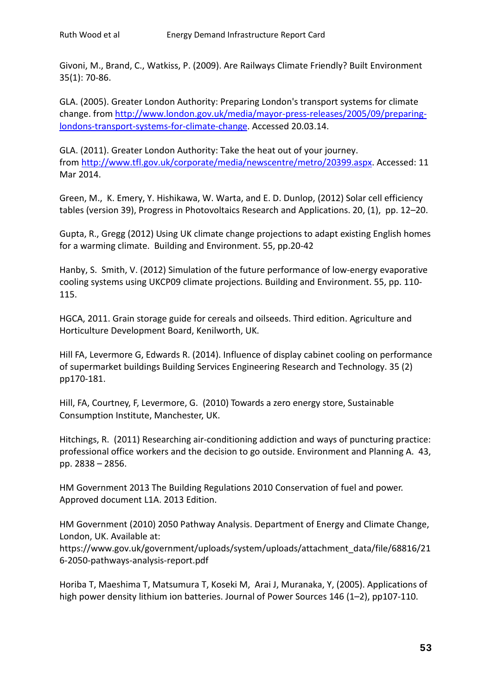Givoni, M., Brand, C., Watkiss, P. (2009). Are Railways Climate Friendly? Built Environment 35(1): 70-86.

GLA. (2005). Greater London Authority: Preparing London's transport systems for climate change. from [http://www.london.gov.uk/media/mayor-press-releases/2005/09/preparing](http://www.london.gov.uk/media/mayor-press-releases/2005/09/preparing-londons-transport-systems-for-climate-change)[londons-transport-systems-for-climate-change.](http://www.london.gov.uk/media/mayor-press-releases/2005/09/preparing-londons-transport-systems-for-climate-change) Accessed 20.03.14.

GLA. (2011). Greater London Authority: Take the heat out of your journey. from [http://www.tfl.gov.uk/corporate/media/newscentre/metro/20399.aspx.](http://www.tfl.gov.uk/corporate/media/newscentre/metro/20399.aspx) Accessed: 11 Mar 2014.

Green, M., K. Emery, Y. Hishikawa, W. Warta, and E. D. Dunlop, (2012) Solar cell efficiency tables (version 39), Progress in Photovoltaics Research and Applications. 20, (1), pp. 12–20.

Gupta, R., Gregg (2012) Using UK climate change projections to adapt existing English homes for a warming climate. Building and Environment. 55, pp.20-42

Hanby, S. Smith, V. (2012) Simulation of the future performance of low-energy evaporative cooling systems using UKCP09 climate projections. Building and Environment. 55, pp. 110- 115.

HGCA, 2011. Grain storage guide for cereals and oilseeds. Third edition. Agriculture and Horticulture Development Board, Kenilworth, UK.

Hill FA, Levermore G, Edwards R. (2014). Influence of display cabinet cooling on performance of supermarket buildings Building Services Engineering Research and Technology. 35 (2) pp170-181.

Hill, FA, Courtney, F, Levermore, G. (2010) Towards a zero energy store, Sustainable Consumption Institute, Manchester, UK.

Hitchings, R. (2011) Researching air-conditioning addiction and ways of puncturing practice: professional office workers and the decision to go outside. Environment and Planning A. 43, pp. 2838 – 2856.

HM Government 2013 The Building Regulations 2010 Conservation of fuel and power. Approved document L1A. 2013 Edition.

HM Government (2010) 2050 Pathway Analysis. Department of Energy and Climate Change, London, UK. Available at:

https://www.gov.uk/government/uploads/system/uploads/attachment\_data/file/68816/21 6-2050-pathways-analysis-report.pdf

Horiba T, Maeshima T, Matsumura T, Koseki M, Arai J, Muranaka, Y, (2005). Applications of high power density lithium ion batteries. Journal of Power Sources 146 (1-2), pp107-110.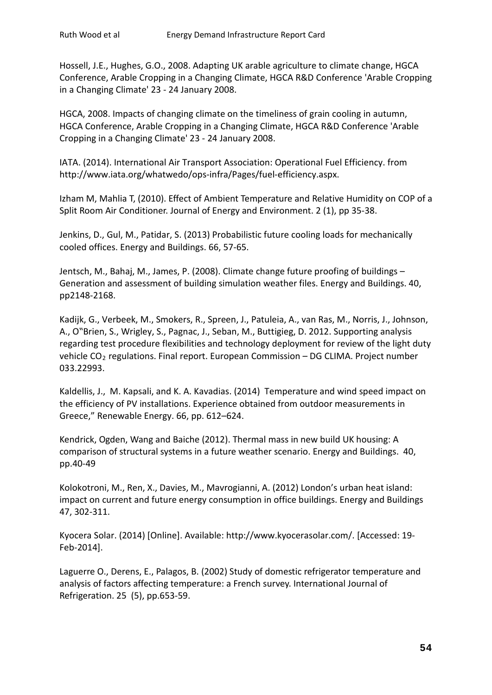Hossell, J.E., Hughes, G.O., 2008. Adapting UK arable agriculture to climate change, HGCA Conference, Arable Cropping in a Changing Climate, HGCA R&D Conference 'Arable Cropping in a Changing Climate' 23 - 24 January 2008.

HGCA, 2008. Impacts of changing climate on the timeliness of grain cooling in autumn, HGCA Conference, Arable Cropping in a Changing Climate, HGCA R&D Conference 'Arable Cropping in a Changing Climate' 23 - 24 January 2008.

IATA. (2014). International Air Transport Association: Operational Fuel Efficiency. from http://www.iata.org/whatwedo/ops-infra/Pages/fuel-efficiency.aspx.

Izham M, Mahlia T, (2010). Effect of Ambient Temperature and Relative Humidity on COP of a Split Room Air Conditioner. Journal of Energy and Environment. 2 (1), pp 35-38.

Jenkins, D., Gul, M., Patidar, S. (2013) Probabilistic future cooling loads for mechanically cooled offices. Energy and Buildings. 66, 57-65.

Jentsch, M., Bahaj, M., James, P. (2008). Climate change future proofing of buildings – Generation and assessment of building simulation weather files. Energy and Buildings. 40, pp2148-2168.

Kadijk, G., Verbeek, M., Smokers, R., Spreen, J., Patuleia, A., van Ras, M., Norris, J., Johnson, A., O"Brien, S., Wrigley, S., Pagnac, J., Seban, M., Buttigieg, D. 2012. Supporting analysis regarding test procedure flexibilities and technology deployment for review of the light duty vehicle  $CO<sub>2</sub>$  regulations. Final report. European Commission – DG CLIMA. Project number 033.22993.

Kaldellis, J., M. Kapsali, and K. A. Kavadias. (2014) Temperature and wind speed impact on the efficiency of PV installations. Experience obtained from outdoor measurements in Greece," Renewable Energy. 66, pp. 612–624.

Kendrick, Ogden, Wang and Baiche (2012). Thermal mass in new build UK housing: A comparison of structural systems in a future weather scenario. Energy and Buildings. 40, pp.40-49

Kolokotroni, M., Ren, X., Davies, M., Mavrogianni, A. (2012) London's urban heat island: impact on current and future energy consumption in office buildings. Energy and Buildings 47, 302-311.

Kyocera Solar. (2014) [Online]. Available: http://www.kyocerasolar.com/. [Accessed: 19- Feb-2014].

Laguerre O., Derens, E., Palagos, B. (2002) Study of domestic refrigerator temperature and analysis of factors affecting temperature: a French survey. International Journal of Refrigeration. 25 (5), pp.653-59.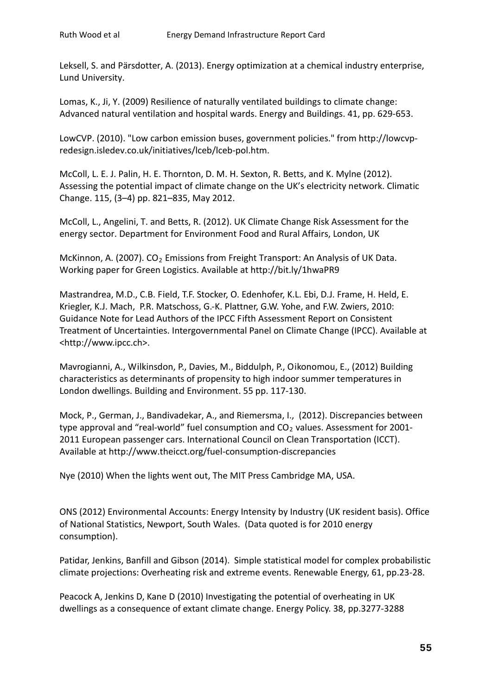Leksell, S. and Pärsdotter, A. (2013). Energy optimization at a chemical industry enterprise, Lund University.

Lomas, K., Ji, Y. (2009) Resilience of naturally ventilated buildings to climate change: Advanced natural ventilation and hospital wards. Energy and Buildings. 41, pp. 629-653.

LowCVP. (2010). "Low carbon emission buses, government policies." from http://lowcvpredesign.isledev.co.uk/initiatives/lceb/lceb-pol.htm.

McColl, L. E. J. Palin, H. E. Thornton, D. M. H. Sexton, R. Betts, and K. Mylne (2012). Assessing the potential impact of climate change on the UK's electricity network. Climatic Change. 115, (3–4) pp. 821–835, May 2012.

McColl, L., Angelini, T. and Betts, R. (2012). UK Climate Change Risk Assessment for the energy sector. Department for Environment Food and Rural Affairs, London, UK

McKinnon, A. (2007).  $CO<sub>2</sub>$  Emissions from Freight Transport: An Analysis of UK Data. Working paper for Green Logistics. Available at http://bit.ly/1hwaPR9

Mastrandrea, M.D., C.B. Field, T.F. Stocker, O. Edenhofer, K.L. Ebi, D.J. Frame, H. Held, E. Kriegler, K.J. Mach, P.R. Matschoss, G.-K. Plattner, G.W. Yohe, and F.W. Zwiers, 2010: Guidance Note for Lead Authors of the IPCC Fifth Assessment Report on Consistent Treatment of Uncertainties. Intergovernmental Panel on Climate Change (IPCC). Available at <http://www.ipcc.ch>.

Mavrogianni, A., Wilkinsdon, P., Davies, M., Biddulph, P., Oikonomou, E., (2012) Building characteristics as determinants of propensity to high indoor summer temperatures in London dwellings. Building and Environment. 55 pp. 117-130.

Mock, P., German, J., Bandivadekar, A., and Riemersma, I., (2012). Discrepancies between type approval and "real-world" fuel consumption and  $CO<sub>2</sub>$  values. Assessment for 2001-2011 European passenger cars. International Council on Clean Transportation (ICCT). Available at http://www.theicct.org/fuel-consumption-discrepancies

Nye (2010) When the lights went out, The MIT Press Cambridge MA, USA.

ONS (2012) Environmental Accounts: Energy Intensity by Industry (UK resident basis). Office of National Statistics, Newport, South Wales. (Data quoted is for 2010 energy consumption).

Patidar, Jenkins, Banfill and Gibson (2014). Simple statistical model for complex probabilistic climate projections: Overheating risk and extreme events. Renewable Energy, 61, pp.23-28.

Peacock A, Jenkins D, Kane D (2010) Investigating the potential of overheating in UK dwellings as a consequence of extant climate change. Energy Policy. 38, pp.3277-3288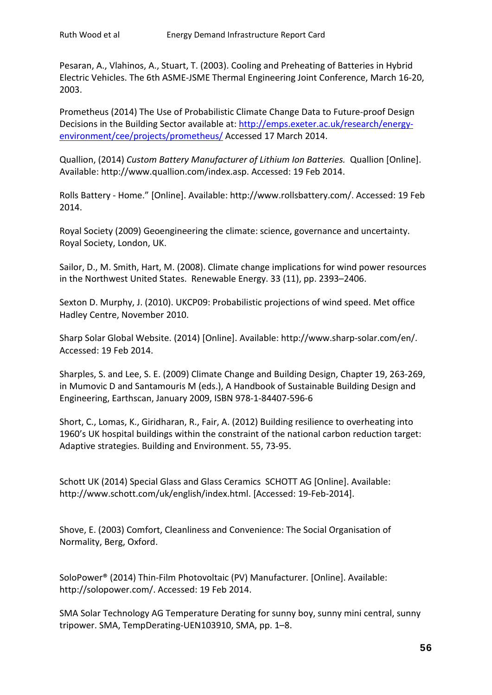Pesaran, A., Vlahinos, A., Stuart, T. (2003). Cooling and Preheating of Batteries in Hybrid Electric Vehicles. The 6th ASME-JSME Thermal Engineering Joint Conference, March 16-20, 2003.

Prometheus (2014) The Use of Probabilistic Climate Change Data to Future-proof Design Decisions in the Building Sector available at: [http://emps.exeter.ac.uk/research/energy](http://emps.exeter.ac.uk/research/energy-environment/cee/projects/prometheus/)[environment/cee/projects/prometheus/](http://emps.exeter.ac.uk/research/energy-environment/cee/projects/prometheus/) Accessed 17 March 2014.

Quallion, (2014) *Custom Battery Manufacturer of Lithium Ion Batteries.* Quallion [Online]. Available: http://www.quallion.com/index.asp. Accessed: 19 Feb 2014.

Rolls Battery - Home." [Online]. Available: http://www.rollsbattery.com/. Accessed: 19 Feb 2014.

Royal Society (2009) Geoengineering the climate: science, governance and uncertainty. Royal Society, London, UK.

Sailor, D., M. Smith, Hart, M. (2008). Climate change implications for wind power resources in the Northwest United States. Renewable Energy. 33 (11), pp. 2393–2406.

Sexton D. Murphy, J. (2010). UKCP09: Probabilistic projections of wind speed. Met office Hadley Centre, November 2010.

Sharp Solar Global Website. (2014) [Online]. Available: http://www.sharp-solar.com/en/. Accessed: 19 Feb 2014.

Sharples, S. and Lee, S. E. (2009) Climate Change and Building Design, Chapter 19, 263-269, in Mumovic D and Santamouris M (eds.), A Handbook of Sustainable Building Design and Engineering, Earthscan, January 2009, ISBN 978-1-84407-596-6

Short, C., Lomas, K., Giridharan, R., Fair, A. (2012) Building resilience to overheating into 1960's UK hospital buildings within the constraint of the national carbon reduction target: Adaptive strategies. Building and Environment. 55, 73-95.

Schott UK (2014) Special Glass and Glass Ceramics SCHOTT AG [Online]. Available: http://www.schott.com/uk/english/index.html. [Accessed: 19-Feb-2014].

Shove, E. (2003) Comfort, Cleanliness and Convenience: The Social Organisation of Normality, Berg, Oxford.

SoloPower® (2014) Thin-Film Photovoltaic (PV) Manufacturer. [Online]. Available: http://solopower.com/. Accessed: 19 Feb 2014.

SMA Solar Technology AG Temperature Derating for sunny boy, sunny mini central, sunny tripower. SMA, TempDerating-UEN103910, SMA, pp. 1–8.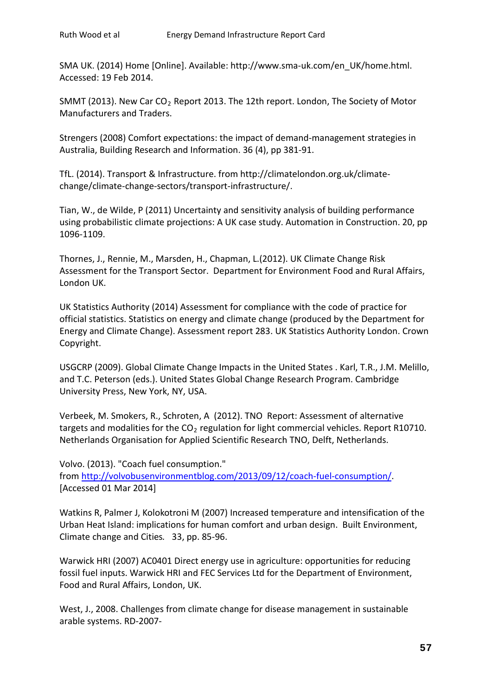SMA UK. (2014) Home [Online]. Available: http://www.sma-uk.com/en\_UK/home.html. Accessed: 19 Feb 2014.

SMMT (2013). New Car  $CO<sub>2</sub>$  Report 2013. The 12th report. London, The Society of Motor Manufacturers and Traders.

Strengers (2008) Comfort expectations: the impact of demand-management strategies in Australia, Building Research and Information. 36 (4), pp 381-91.

TfL. (2014). Transport & Infrastructure. from http://climatelondon.org.uk/climatechange/climate-change-sectors/transport-infrastructure/.

Tian, W., de Wilde, P (2011) Uncertainty and sensitivity analysis of building performance using probabilistic climate projections: A UK case study. Automation in Construction. 20, pp 1096-1109.

Thornes, J., Rennie, M., Marsden, H., Chapman, L.(2012). UK Climate Change Risk Assessment for the Transport Sector. Department for Environment Food and Rural Affairs, London UK.

UK Statistics Authority (2014) Assessment for compliance with the code of practice for official statistics. Statistics on energy and climate change (produced by the Department for Energy and Climate Change). Assessment report 283. UK Statistics Authority London. Crown Copyright.

USGCRP (2009). Global Climate Change Impacts in the United States . Karl, T.R., J.M. Melillo, and T.C. Peterson (eds.). United States Global Change Research Program. Cambridge University Press, New York, NY, USA.

Verbeek, M. Smokers, R., Schroten, A (2012). TNO Report: Assessment of alternative targets and modalities for the  $CO<sub>2</sub>$  regulation for light commercial vehicles. Report R10710. Netherlands Organisation for Applied Scientific Research TNO, Delft, Netherlands.

Volvo. (2013). "Coach fuel consumption." from [http://volvobusenvironmentblog.com/2013/09/12/coach-fuel-consumption/.](http://volvobusenvironmentblog.com/2013/09/12/coach-fuel-consumption/) [Accessed 01 Mar 2014]

Watkins R, Palmer J, Kolokotroni M (2007) Increased temperature and intensification of the Urban Heat Island: implications for human comfort and urban design. Built Environment, Climate change and Cities*.* 33, pp. 85-96.

Warwick HRI (2007) AC0401 Direct energy use in agriculture: opportunities for reducing fossil fuel inputs. Warwick HRI and FEC Services Ltd for the Department of Environment, Food and Rural Affairs, London, UK.

West, J., 2008. Challenges from climate change for disease management in sustainable arable systems. RD-2007